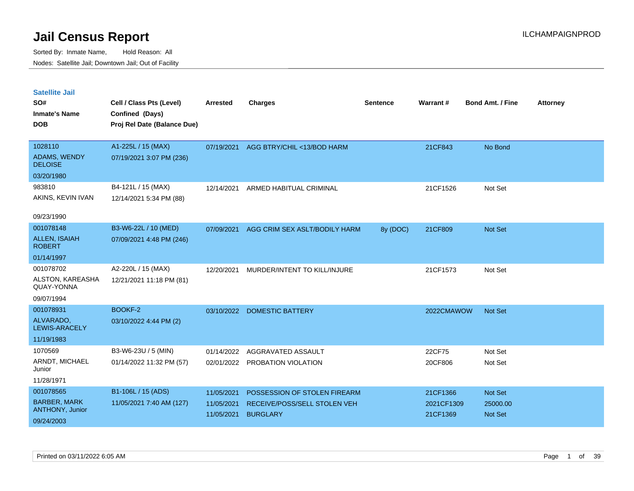| <b>Satellite Jail</b><br>SO#<br><b>Inmate's Name</b><br><b>DOB</b> | Cell / Class Pts (Level)<br>Confined (Days)<br>Proj Rel Date (Balance Due) | <b>Arrested</b> | <b>Charges</b>                | <b>Sentence</b> | Warrant#   | <b>Bond Amt. / Fine</b> | <b>Attorney</b> |
|--------------------------------------------------------------------|----------------------------------------------------------------------------|-----------------|-------------------------------|-----------------|------------|-------------------------|-----------------|
| 1028110                                                            | A1-225L / 15 (MAX)                                                         | 07/19/2021      | AGG BTRY/CHIL <13/BOD HARM    |                 | 21CF843    | No Bond                 |                 |
| ADAMS, WENDY<br><b>DELOISE</b>                                     | 07/19/2021 3:07 PM (236)                                                   |                 |                               |                 |            |                         |                 |
| 03/20/1980                                                         |                                                                            |                 |                               |                 |            |                         |                 |
| 983810                                                             | B4-121L / 15 (MAX)                                                         | 12/14/2021      | ARMED HABITUAL CRIMINAL       |                 | 21CF1526   | Not Set                 |                 |
| AKINS, KEVIN IVAN                                                  | 12/14/2021 5:34 PM (88)                                                    |                 |                               |                 |            |                         |                 |
| 09/23/1990                                                         |                                                                            |                 |                               |                 |            |                         |                 |
| 001078148                                                          | B3-W6-22L / 10 (MED)                                                       | 07/09/2021      | AGG CRIM SEX ASLT/BODILY HARM | 8y (DOC)        | 21CF809    | <b>Not Set</b>          |                 |
| <b>ALLEN, ISAIAH</b><br><b>ROBERT</b>                              | 07/09/2021 4:48 PM (246)                                                   |                 |                               |                 |            |                         |                 |
| 01/14/1997                                                         |                                                                            |                 |                               |                 |            |                         |                 |
| 001078702                                                          | A2-220L / 15 (MAX)                                                         | 12/20/2021      | MURDER/INTENT TO KILL/INJURE  |                 | 21CF1573   | Not Set                 |                 |
| ALSTON, KAREASHA<br>QUAY-YONNA                                     | 12/21/2021 11:18 PM (81)                                                   |                 |                               |                 |            |                         |                 |
| 09/07/1994                                                         |                                                                            |                 |                               |                 |            |                         |                 |
| 001078931                                                          | BOOKF-2                                                                    | 03/10/2022      | <b>DOMESTIC BATTERY</b>       |                 | 2022CMAWOW | <b>Not Set</b>          |                 |
| ALVARADO,<br><b>LEWIS-ARACELY</b>                                  | 03/10/2022 4:44 PM (2)                                                     |                 |                               |                 |            |                         |                 |
| 11/19/1983                                                         |                                                                            |                 |                               |                 |            |                         |                 |
| 1070569                                                            | B3-W6-23U / 5 (MIN)                                                        | 01/14/2022      | AGGRAVATED ASSAULT            |                 | 22CF75     | Not Set                 |                 |
| ARNDT, MICHAEL<br>Junior                                           | 01/14/2022 11:32 PM (57)                                                   | 02/01/2022      | PROBATION VIOLATION           |                 | 20CF806    | Not Set                 |                 |
| 11/28/1971                                                         |                                                                            |                 |                               |                 |            |                         |                 |
| 001078565                                                          | B1-106L / 15 (ADS)                                                         | 11/05/2021      | POSSESSION OF STOLEN FIREARM  |                 | 21CF1366   | <b>Not Set</b>          |                 |
| <b>BARBER, MARK</b><br>ANTHONY, Junior                             | 11/05/2021 7:40 AM (127)                                                   | 11/05/2021      | RECEIVE/POSS/SELL STOLEN VEH  |                 | 2021CF1309 | 25000.00                |                 |
| 09/24/2003                                                         |                                                                            | 11/05/2021      | <b>BURGLARY</b>               |                 | 21CF1369   | <b>Not Set</b>          |                 |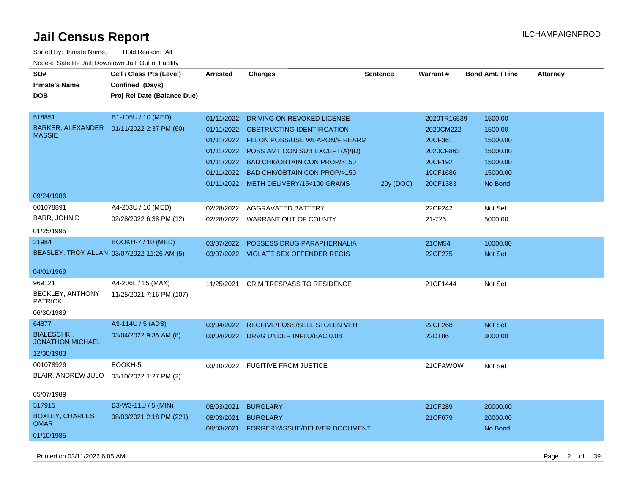| SO#<br><b>Inmate's Name</b><br><b>DOB</b>                            | Cell / Class Pts (Level)<br>Confined (Days)<br>Proj Rel Date (Balance Due) | <b>Arrested</b>          | <b>Charges</b>                                                                                                                                                                                                                                                                              | <b>Sentence</b> | Warrant#                                                                            | <b>Bond Amt. / Fine</b>                                                       | <b>Attorney</b> |
|----------------------------------------------------------------------|----------------------------------------------------------------------------|--------------------------|---------------------------------------------------------------------------------------------------------------------------------------------------------------------------------------------------------------------------------------------------------------------------------------------|-----------------|-------------------------------------------------------------------------------------|-------------------------------------------------------------------------------|-----------------|
| 518851<br>BARKER, ALEXANDER<br><b>MASSIE</b><br>09/24/1986           | B1-105U / 10 (MED)<br>01/11/2022 2:37 PM (60)                              | 01/11/2022               | DRIVING ON REVOKED LICENSE<br>01/11/2022 OBSTRUCTING IDENTIFICATION<br>01/11/2022 FELON POSS/USE WEAPON/FIREARM<br>01/11/2022 POSS AMT CON SUB EXCEPT(A)/(D)<br>01/11/2022 BAD CHK/OBTAIN CON PROP/>150<br>01/11/2022 BAD CHK/OBTAIN CON PROP/>150<br>01/11/2022 METH DELIVERY/15<100 GRAMS | 20y (DOC)       | 2020TR16539<br>2020CM222<br>20CF361<br>2020CF863<br>20CF192<br>19CF1686<br>20CF1383 | 1500.00<br>1500.00<br>15000.00<br>15000.00<br>15000.00<br>15000.00<br>No Bond |                 |
| 001078891<br>BARR, JOHN D<br>01/25/1995                              | A4-203U / 10 (MED)<br>02/28/2022 6:38 PM (12)                              |                          | 02/28/2022 AGGRAVATED BATTERY<br>02/28/2022 WARRANT OUT OF COUNTY                                                                                                                                                                                                                           |                 | 22CF242<br>21-725                                                                   | Not Set<br>5000.00                                                            |                 |
| 31984<br>BEASLEY, TROY ALLAN 03/07/2022 11:26 AM (5)<br>04/01/1969   | <b>BOOKH-7 / 10 (MED)</b>                                                  | 03/07/2022               | POSSESS DRUG PARAPHERNALIA<br>03/07/2022 VIOLATE SEX OFFENDER REGIS                                                                                                                                                                                                                         |                 | 21CM54<br>22CF275                                                                   | 10000.00<br>Not Set                                                           |                 |
| 969121<br>BECKLEY, ANTHONY<br><b>PATRICK</b><br>06/30/1989           | A4-206L / 15 (MAX)<br>11/25/2021 7:16 PM (107)                             | 11/25/2021               | <b>CRIM TRESPASS TO RESIDENCE</b>                                                                                                                                                                                                                                                           |                 | 21CF1444                                                                            | Not Set                                                                       |                 |
| 64877<br><b>BIALESCHKI,</b><br><b>JONATHON MICHAEL</b><br>12/30/1983 | A3-114U / 5 (ADS)<br>03/04/2022 9:35 AM (8)                                | 03/04/2022               | RECEIVE/POSS/SELL STOLEN VEH<br>03/04/2022 DRVG UNDER INFLU/BAC 0.08                                                                                                                                                                                                                        |                 | 22CF268<br>22DT86                                                                   | Not Set<br>3000.00                                                            |                 |
| 001078929<br>BLAIR, ANDREW JULO<br>05/07/1989                        | BOOKH-5<br>03/10/2022 1:27 PM (2)                                          |                          | 03/10/2022 FUGITIVE FROM JUSTICE                                                                                                                                                                                                                                                            |                 | 21CFAWOW                                                                            | Not Set                                                                       |                 |
| 517915<br><b>BOXLEY, CHARLES</b><br><b>OMAR</b><br>01/10/1985        | B3-W3-11U / 5 (MIN)<br>08/03/2021 2:18 PM (221)                            | 08/03/2021<br>08/03/2021 | <b>BURGLARY</b><br><b>BURGLARY</b><br>08/03/2021 FORGERY/ISSUE/DELIVER DOCUMENT                                                                                                                                                                                                             |                 | 21CF289<br>21CF679                                                                  | 20000.00<br>20000.00<br>No Bond                                               |                 |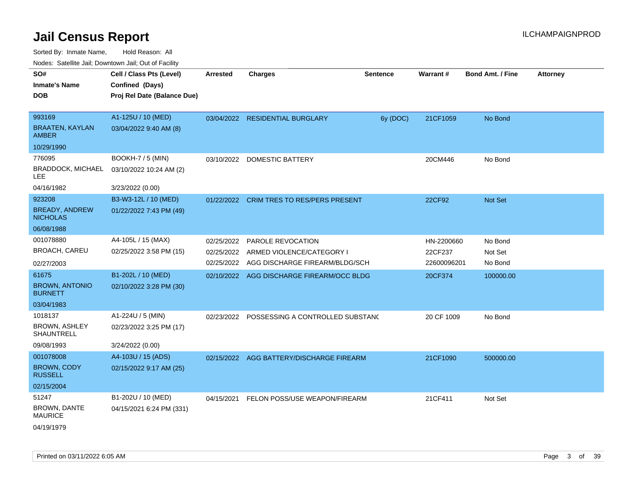Sorted By: Inmate Name, Hold Reason: All

| SO#                                       | Cell / Class Pts (Level)    | <b>Arrested</b> | <b>Charges</b>                            | Sentence | Warrant#    | <b>Bond Amt. / Fine</b> | <b>Attorney</b> |
|-------------------------------------------|-----------------------------|-----------------|-------------------------------------------|----------|-------------|-------------------------|-----------------|
| <b>Inmate's Name</b>                      | Confined (Days)             |                 |                                           |          |             |                         |                 |
| <b>DOB</b>                                | Proj Rel Date (Balance Due) |                 |                                           |          |             |                         |                 |
|                                           |                             |                 |                                           |          |             |                         |                 |
| 993169                                    | A1-125U / 10 (MED)          | 03/04/2022      | <b>RESIDENTIAL BURGLARY</b>               | 6y (DOC) | 21CF1059    | No Bond                 |                 |
| <b>BRAATEN, KAYLAN</b><br><b>AMBER</b>    | 03/04/2022 9:40 AM (8)      |                 |                                           |          |             |                         |                 |
| 10/29/1990                                |                             |                 |                                           |          |             |                         |                 |
| 776095                                    | BOOKH-7 / 5 (MIN)           | 03/10/2022      | <b>DOMESTIC BATTERY</b>                   |          | 20CM446     | No Bond                 |                 |
| BRADDOCK, MICHAEL<br>LEE                  | 03/10/2022 10:24 AM (2)     |                 |                                           |          |             |                         |                 |
| 04/16/1982                                | 3/23/2022 (0.00)            |                 |                                           |          |             |                         |                 |
| 923208                                    | B3-W3-12L / 10 (MED)        | 01/22/2022      | <b>CRIM TRES TO RES/PERS PRESENT</b>      |          | 22CF92      | Not Set                 |                 |
| <b>BREADY, ANDREW</b><br><b>NICHOLAS</b>  | 01/22/2022 7:43 PM (49)     |                 |                                           |          |             |                         |                 |
| 06/08/1988                                |                             |                 |                                           |          |             |                         |                 |
| 001078880                                 | A4-105L / 15 (MAX)          | 02/25/2022      | <b>PAROLE REVOCATION</b>                  |          | HN-2200660  | No Bond                 |                 |
| <b>BROACH, CAREU</b>                      | 02/25/2022 3:58 PM (15)     | 02/25/2022      | ARMED VIOLENCE/CATEGORY I                 |          | 22CF237     | Not Set                 |                 |
| 02/27/2003                                |                             | 02/25/2022      | AGG DISCHARGE FIREARM/BLDG/SCH            |          | 22600096201 | No Bond                 |                 |
| 61675                                     | B1-202L / 10 (MED)          |                 | 02/10/2022 AGG DISCHARGE FIREARM/OCC BLDG |          | 20CF374     | 100000.00               |                 |
| <b>BROWN, ANTONIO</b><br><b>BURNETT</b>   | 02/10/2022 3:28 PM (30)     |                 |                                           |          |             |                         |                 |
| 03/04/1983                                |                             |                 |                                           |          |             |                         |                 |
| 1018137                                   | A1-224U / 5 (MIN)           | 02/23/2022      | POSSESSING A CONTROLLED SUBSTAND          |          | 20 CF 1009  | No Bond                 |                 |
| <b>BROWN, ASHLEY</b><br><b>SHAUNTRELL</b> | 02/23/2022 3:25 PM (17)     |                 |                                           |          |             |                         |                 |
| 09/08/1993                                | 3/24/2022 (0.00)            |                 |                                           |          |             |                         |                 |
| 001078008                                 | A4-103U / 15 (ADS)          |                 | 02/15/2022 AGG BATTERY/DISCHARGE FIREARM  |          | 21CF1090    | 500000.00               |                 |
| <b>BROWN, CODY</b><br><b>RUSSELL</b>      | 02/15/2022 9:17 AM (25)     |                 |                                           |          |             |                         |                 |
| 02/15/2004                                |                             |                 |                                           |          |             |                         |                 |
| 51247                                     | B1-202U / 10 (MED)          | 04/15/2021      | FELON POSS/USE WEAPON/FIREARM             |          | 21CF411     | Not Set                 |                 |
| DOOMAL DANTE                              |                             |                 |                                           |          |             |                         |                 |

BROWN, DANTE MAURICE 04/15/2021 6:24 PM (331)

04/19/1979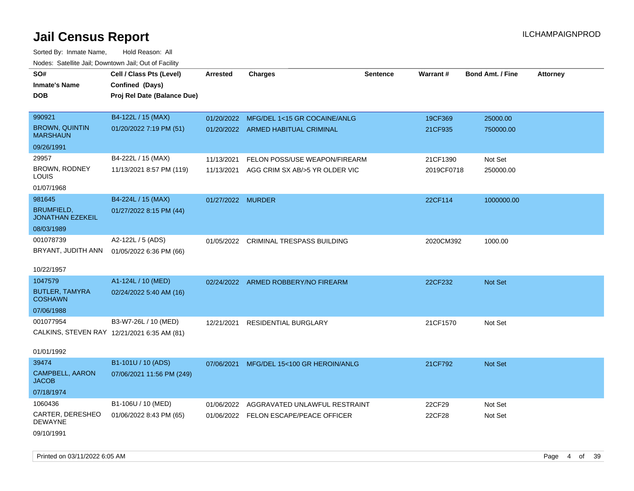| Todoo: Catolino can, Bomnomii can, Oat of Faoint |                                                                            |                   |                                         |                 |            |                         |                 |
|--------------------------------------------------|----------------------------------------------------------------------------|-------------------|-----------------------------------------|-----------------|------------|-------------------------|-----------------|
| SO#<br><b>Inmate's Name</b><br><b>DOB</b>        | Cell / Class Pts (Level)<br>Confined (Days)<br>Proj Rel Date (Balance Due) | <b>Arrested</b>   | <b>Charges</b>                          | <b>Sentence</b> | Warrant#   | <b>Bond Amt. / Fine</b> | <b>Attorney</b> |
| 990921                                           | B4-122L / 15 (MAX)                                                         |                   | 01/20/2022 MFG/DEL 1<15 GR COCAINE/ANLG |                 | 19CF369    | 25000.00                |                 |
| <b>BROWN, QUINTIN</b><br><b>MARSHAUN</b>         | 01/20/2022 7:19 PM (51)                                                    |                   | 01/20/2022 ARMED HABITUAL CRIMINAL      |                 | 21CF935    | 750000.00               |                 |
| 09/26/1991                                       |                                                                            |                   |                                         |                 |            |                         |                 |
| 29957                                            | B4-222L / 15 (MAX)                                                         | 11/13/2021        | FELON POSS/USE WEAPON/FIREARM           |                 | 21CF1390   | Not Set                 |                 |
| BROWN, RODNEY<br>LOUIS                           | 11/13/2021 8:57 PM (119)                                                   | 11/13/2021        | AGG CRIM SX AB/>5 YR OLDER VIC          |                 | 2019CF0718 | 250000.00               |                 |
| 01/07/1968                                       |                                                                            |                   |                                         |                 |            |                         |                 |
| 981645                                           | B4-224L / 15 (MAX)                                                         | 01/27/2022 MURDER |                                         |                 | 22CF114    | 1000000.00              |                 |
| <b>BRUMFIELD,</b><br><b>JONATHAN EZEKEIL</b>     | 01/27/2022 8:15 PM (44)                                                    |                   |                                         |                 |            |                         |                 |
| 08/03/1989                                       |                                                                            |                   |                                         |                 |            |                         |                 |
| 001078739<br>BRYANT, JUDITH ANN                  | A2-122L / 5 (ADS)<br>01/05/2022 6:36 PM (66)                               |                   | 01/05/2022 CRIMINAL TRESPASS BUILDING   |                 | 2020CM392  | 1000.00                 |                 |
| 10/22/1957                                       |                                                                            |                   |                                         |                 |            |                         |                 |
| 1047579                                          | A1-124L / 10 (MED)                                                         |                   | 02/24/2022 ARMED ROBBERY/NO FIREARM     |                 | 22CF232    | Not Set                 |                 |
| <b>BUTLER, TAMYRA</b><br><b>COSHAWN</b>          | 02/24/2022 5:40 AM (16)                                                    |                   |                                         |                 |            |                         |                 |
| 07/06/1988                                       |                                                                            |                   |                                         |                 |            |                         |                 |
| 001077954                                        | B3-W7-26L / 10 (MED)                                                       | 12/21/2021        | <b>RESIDENTIAL BURGLARY</b>             |                 | 21CF1570   | Not Set                 |                 |
|                                                  | CALKINS, STEVEN RAY 12/21/2021 6:35 AM (81)                                |                   |                                         |                 |            |                         |                 |
| 01/01/1992                                       |                                                                            |                   |                                         |                 |            |                         |                 |
| 39474                                            | B1-101U / 10 (ADS)                                                         | 07/06/2021        | MFG/DEL 15<100 GR HEROIN/ANLG           |                 | 21CF792    | Not Set                 |                 |
| CAMPBELL, AARON<br><b>JACOB</b>                  | 07/06/2021 11:56 PM (249)                                                  |                   |                                         |                 |            |                         |                 |
| 07/18/1974                                       |                                                                            |                   |                                         |                 |            |                         |                 |
| 1060436                                          | B1-106U / 10 (MED)                                                         | 01/06/2022        | AGGRAVATED UNLAWFUL RESTRAINT           |                 | 22CF29     | Not Set                 |                 |
| CARTER, DERESHEO<br><b>DEWAYNE</b>               | 01/06/2022 8:43 PM (65)                                                    | 01/06/2022        | <b>FELON ESCAPE/PEACE OFFICER</b>       |                 | 22CF28     | Not Set                 |                 |
| 09/10/1991                                       |                                                                            |                   |                                         |                 |            |                         |                 |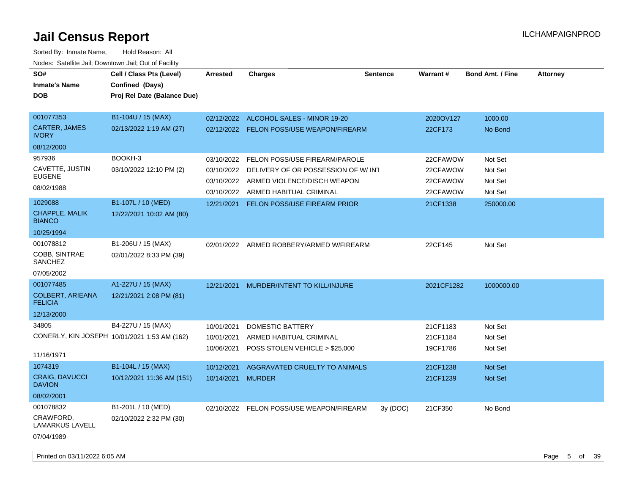| SO#<br><b>Inmate's Name</b><br>DOB                                     | Cell / Class Pts (Level)<br>Confined (Days)<br>Proj Rel Date (Balance Due) | <b>Arrested</b>                        | <b>Charges</b>                                                                                                                           | <b>Sentence</b> | Warrant#                                     | <b>Bond Amt. / Fine</b>                  | <b>Attorney</b> |
|------------------------------------------------------------------------|----------------------------------------------------------------------------|----------------------------------------|------------------------------------------------------------------------------------------------------------------------------------------|-----------------|----------------------------------------------|------------------------------------------|-----------------|
| 001077353<br><b>CARTER, JAMES</b><br><b>IVORY</b>                      | B1-104U / 15 (MAX)<br>02/13/2022 1:19 AM (27)                              | 02/12/2022                             | ALCOHOL SALES - MINOR 19-20<br>02/12/2022 FELON POSS/USE WEAPON/FIREARM                                                                  |                 | 2020OV127<br>22CF173                         | 1000.00<br>No Bond                       |                 |
| 08/12/2000<br>957936<br>CAVETTE, JUSTIN<br><b>EUGENE</b><br>08/02/1988 | BOOKH-3<br>03/10/2022 12:10 PM (2)                                         | 03/10/2022<br>03/10/2022<br>03/10/2022 | FELON POSS/USE FIREARM/PAROLE<br>DELIVERY OF OR POSSESSION OF W/INT<br>ARMED VIOLENCE/DISCH WEAPON<br>03/10/2022 ARMED HABITUAL CRIMINAL |                 | 22CFAWOW<br>22CFAWOW<br>22CFAWOW<br>22CFAWOW | Not Set<br>Not Set<br>Not Set<br>Not Set |                 |
| 1029088<br>CHAPPLE, MALIK<br><b>BIANCO</b><br>10/25/1994               | B1-107L / 10 (MED)<br>12/22/2021 10:02 AM (80)                             | 12/21/2021                             | <b>FELON POSS/USE FIREARM PRIOR</b>                                                                                                      |                 | 21CF1338                                     | 250000.00                                |                 |
| 001078812<br>COBB, SINTRAE<br>SANCHEZ<br>07/05/2002                    | B1-206U / 15 (MAX)<br>02/01/2022 8:33 PM (39)                              | 02/01/2022                             | ARMED ROBBERY/ARMED W/FIREARM                                                                                                            |                 | 22CF145                                      | Not Set                                  |                 |
| 001077485<br><b>COLBERT, ARIEANA</b><br><b>FELICIA</b><br>12/13/2000   | A1-227U / 15 (MAX)<br>12/21/2021 2:08 PM (81)                              | 12/21/2021                             | MURDER/INTENT TO KILL/INJURE                                                                                                             |                 | 2021CF1282                                   | 1000000.00                               |                 |
| 34805<br>11/16/1971                                                    | B4-227U / 15 (MAX)<br>CONERLY, KIN JOSEPH 10/01/2021 1:53 AM (162)         | 10/01/2021<br>10/01/2021<br>10/06/2021 | <b>DOMESTIC BATTERY</b><br>ARMED HABITUAL CRIMINAL<br>POSS STOLEN VEHICLE > \$25,000                                                     |                 | 21CF1183<br>21CF1184<br>19CF1786             | Not Set<br>Not Set<br>Not Set            |                 |
| 1074319<br><b>CRAIG, DAVUCCI</b><br><b>DAVION</b><br>08/02/2001        | B1-104L / 15 (MAX)<br>10/12/2021 11:36 AM (151)                            | 10/12/2021<br>10/14/2021               | AGGRAVATED CRUELTY TO ANIMALS<br><b>MURDER</b>                                                                                           |                 | 21CF1238<br>21CF1239                         | <b>Not Set</b><br><b>Not Set</b>         |                 |
| 001078832<br>CRAWFORD,<br><b>LAMARKUS LAVELL</b><br>07/04/1989         | B1-201L / 10 (MED)<br>02/10/2022 2:32 PM (30)                              |                                        | 02/10/2022 FELON POSS/USE WEAPON/FIREARM                                                                                                 | 3y(DOC)         | 21CF350                                      | No Bond                                  |                 |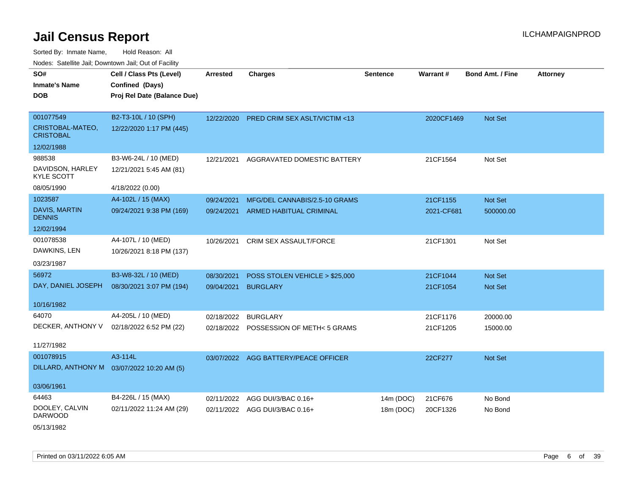Sorted By: Inmate Name, Hold Reason: All Nodes: Satellite Jail; Downtown Jail; Out of Facility

| SO#                                   | Cell / Class Pts (Level)                    | <b>Arrested</b> | <b>Charges</b>                       | <b>Sentence</b> | Warrant#   | <b>Bond Amt. / Fine</b> | <b>Attorney</b> |
|---------------------------------------|---------------------------------------------|-----------------|--------------------------------------|-----------------|------------|-------------------------|-----------------|
| <b>Inmate's Name</b>                  | Confined (Days)                             |                 |                                      |                 |            |                         |                 |
| <b>DOB</b>                            | Proj Rel Date (Balance Due)                 |                 |                                      |                 |            |                         |                 |
|                                       |                                             |                 |                                      |                 |            |                         |                 |
| 001077549                             | B2-T3-10L / 10 (SPH)                        | 12/22/2020      | PRED CRIM SEX ASLT/VICTIM <13        |                 | 2020CF1469 | Not Set                 |                 |
| CRISTOBAL-MATEO,<br><b>CRISTOBAL</b>  | 12/22/2020 1:17 PM (445)                    |                 |                                      |                 |            |                         |                 |
| 12/02/1988                            |                                             |                 |                                      |                 |            |                         |                 |
| 988538                                | B3-W6-24L / 10 (MED)                        | 12/21/2021      | AGGRAVATED DOMESTIC BATTERY          |                 | 21CF1564   | Not Set                 |                 |
| DAVIDSON, HARLEY<br><b>KYLE SCOTT</b> | 12/21/2021 5:45 AM (81)                     |                 |                                      |                 |            |                         |                 |
| 08/05/1990                            | 4/18/2022 (0.00)                            |                 |                                      |                 |            |                         |                 |
| 1023587                               | A4-102L / 15 (MAX)                          | 09/24/2021      | MFG/DEL CANNABIS/2.5-10 GRAMS        |                 | 21CF1155   | Not Set                 |                 |
| <b>DAVIS, MARTIN</b><br><b>DENNIS</b> | 09/24/2021 9:38 PM (169)                    | 09/24/2021      | <b>ARMED HABITUAL CRIMINAL</b>       |                 | 2021-CF681 | 500000.00               |                 |
| 12/02/1994                            |                                             |                 |                                      |                 |            |                         |                 |
| 001078538                             | A4-107L / 10 (MED)                          | 10/26/2021      | <b>CRIM SEX ASSAULT/FORCE</b>        |                 | 21CF1301   | Not Set                 |                 |
| DAWKINS, LEN                          | 10/26/2021 8:18 PM (137)                    |                 |                                      |                 |            |                         |                 |
| 03/23/1987                            |                                             |                 |                                      |                 |            |                         |                 |
| 56972                                 | B3-W8-32L / 10 (MED)                        | 08/30/2021      | POSS STOLEN VEHICLE > \$25,000       |                 | 21CF1044   | <b>Not Set</b>          |                 |
| DAY, DANIEL JOSEPH                    | 08/30/2021 3:07 PM (194)                    | 09/04/2021      | <b>BURGLARY</b>                      |                 | 21CF1054   | <b>Not Set</b>          |                 |
|                                       |                                             |                 |                                      |                 |            |                         |                 |
| 10/16/1982                            |                                             |                 |                                      |                 |            |                         |                 |
| 64070                                 | A4-205L / 10 (MED)                          | 02/18/2022      | <b>BURGLARY</b>                      |                 | 21CF1176   | 20000.00                |                 |
| DECKER, ANTHONY V                     | 02/18/2022 6:52 PM (22)                     | 02/18/2022      | POSSESSION OF METH< 5 GRAMS          |                 | 21CF1205   | 15000.00                |                 |
| 11/27/1982                            |                                             |                 |                                      |                 |            |                         |                 |
| 001078915                             | A3-114L                                     |                 | 03/07/2022 AGG BATTERY/PEACE OFFICER |                 | 22CF277    | Not Set                 |                 |
|                                       | DILLARD, ANTHONY M  03/07/2022 10:20 AM (5) |                 |                                      |                 |            |                         |                 |
|                                       |                                             |                 |                                      |                 |            |                         |                 |
| 03/06/1961                            |                                             |                 |                                      |                 |            |                         |                 |
| 64463                                 | B4-226L / 15 (MAX)                          | 02/11/2022      | AGG DUI/3/BAC 0.16+                  | 14m (DOC)       | 21CF676    | No Bond                 |                 |
| DOOLEY, CALVIN<br><b>DARWOOD</b>      | 02/11/2022 11:24 AM (29)                    |                 | 02/11/2022 AGG DUI/3/BAC 0.16+       | 18m (DOC)       | 20CF1326   | No Bond                 |                 |
|                                       |                                             |                 |                                      |                 |            |                         |                 |

05/13/1982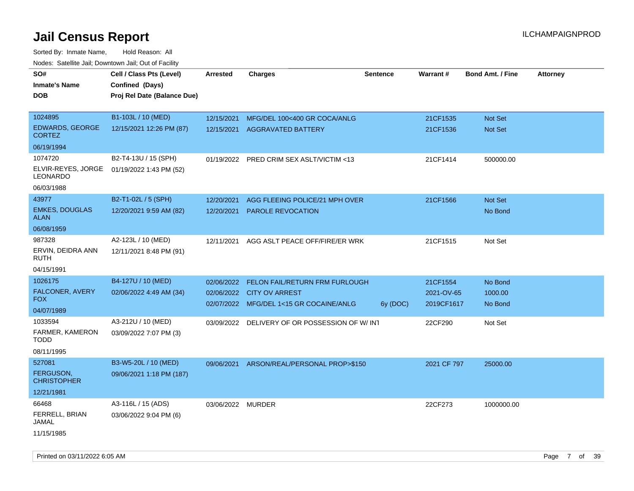| Hougo. Catomic dan, Bowmonn dan, Cat of Fagme<br>SO# | Cell / Class Pts (Level)    | <b>Arrested</b>   | <b>Charges</b>                            | <b>Sentence</b> | Warrant#    | <b>Bond Amt. / Fine</b> | <b>Attorney</b> |
|------------------------------------------------------|-----------------------------|-------------------|-------------------------------------------|-----------------|-------------|-------------------------|-----------------|
| <b>Inmate's Name</b>                                 | Confined (Days)             |                   |                                           |                 |             |                         |                 |
| <b>DOB</b>                                           | Proj Rel Date (Balance Due) |                   |                                           |                 |             |                         |                 |
|                                                      |                             |                   |                                           |                 |             |                         |                 |
| 1024895                                              | B1-103L / 10 (MED)          | 12/15/2021        | MFG/DEL 100<400 GR COCA/ANLG              |                 | 21CF1535    | Not Set                 |                 |
| <b>EDWARDS, GEORGE</b><br><b>CORTEZ</b>              | 12/15/2021 12:26 PM (87)    | 12/15/2021        | <b>AGGRAVATED BATTERY</b>                 |                 | 21CF1536    | Not Set                 |                 |
| 06/19/1994                                           |                             |                   |                                           |                 |             |                         |                 |
| 1074720                                              | B2-T4-13U / 15 (SPH)        |                   | 01/19/2022 PRED CRIM SEX ASLT/VICTIM <13  |                 | 21CF1414    | 500000.00               |                 |
| ELVIR-REYES, JORGE<br><b>LEONARDO</b>                | 01/19/2022 1:43 PM (52)     |                   |                                           |                 |             |                         |                 |
| 06/03/1988                                           |                             |                   |                                           |                 |             |                         |                 |
| 43977                                                | B2-T1-02L / 5 (SPH)         | 12/20/2021        | AGG FLEEING POLICE/21 MPH OVER            |                 | 21CF1566    | Not Set                 |                 |
| <b>EMKES, DOUGLAS</b><br>ALAN                        | 12/20/2021 9:59 AM (82)     | 12/20/2021        | <b>PAROLE REVOCATION</b>                  |                 |             | No Bond                 |                 |
| 06/08/1959                                           |                             |                   |                                           |                 |             |                         |                 |
| 987328                                               | A2-123L / 10 (MED)          |                   | 12/11/2021 AGG ASLT PEACE OFF/FIRE/ER WRK |                 | 21CF1515    | Not Set                 |                 |
| ERVIN, DEIDRA ANN<br>RUTH                            | 12/11/2021 8:48 PM (91)     |                   |                                           |                 |             |                         |                 |
| 04/15/1991                                           |                             |                   |                                           |                 |             |                         |                 |
| 1026175                                              | B4-127U / 10 (MED)          | 02/06/2022        | FELON FAIL/RETURN FRM FURLOUGH            |                 | 21CF1554    | No Bond                 |                 |
| <b>FALCONER, AVERY</b>                               | 02/06/2022 4:49 AM (34)     | 02/06/2022        | <b>CITY OV ARREST</b>                     |                 | 2021-OV-65  | 1000.00                 |                 |
| FOX.                                                 |                             |                   | 02/07/2022 MFG/DEL 1<15 GR COCAINE/ANLG   | 6y (DOC)        | 2019CF1617  | No Bond                 |                 |
| 04/07/1989                                           |                             |                   |                                           |                 |             |                         |                 |
| 1033594                                              | A3-212U / 10 (MED)          | 03/09/2022        | DELIVERY OF OR POSSESSION OF W/INT        |                 | 22CF290     | Not Set                 |                 |
| FARMER, KAMERON<br>TODD                              | 03/09/2022 7:07 PM (3)      |                   |                                           |                 |             |                         |                 |
| 08/11/1995                                           |                             |                   |                                           |                 |             |                         |                 |
| 527081                                               | B3-W5-20L / 10 (MED)        |                   | 09/06/2021 ARSON/REAL/PERSONAL PROP>\$150 |                 | 2021 CF 797 | 25000.00                |                 |
| FERGUSON,<br><b>CHRISTOPHER</b>                      | 09/06/2021 1:18 PM (187)    |                   |                                           |                 |             |                         |                 |
| 12/21/1981                                           |                             |                   |                                           |                 |             |                         |                 |
| 66468                                                | A3-116L / 15 (ADS)          | 03/06/2022 MURDER |                                           |                 | 22CF273     | 1000000.00              |                 |
| FERRELL, BRIAN<br>JAMAL                              | 03/06/2022 9:04 PM (6)      |                   |                                           |                 |             |                         |                 |
| 11/15/1985                                           |                             |                   |                                           |                 |             |                         |                 |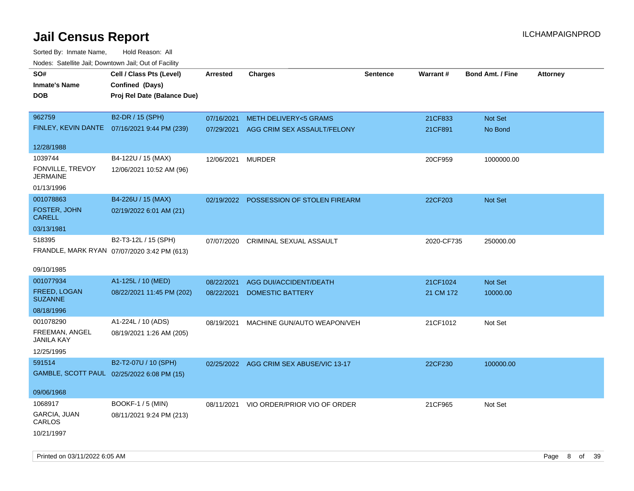Sorted By: Inmate Name, Hold Reason: All Nodes: Satellite Jail; Downtown Jail; Out of Facility

| ivouss. Saleling Jali, Downtown Jali, Out of Facility |                                              |                 |                                         |                 |            |                         |                 |
|-------------------------------------------------------|----------------------------------------------|-----------------|-----------------------------------------|-----------------|------------|-------------------------|-----------------|
| SO#                                                   | Cell / Class Pts (Level)                     | <b>Arrested</b> | <b>Charges</b>                          | <b>Sentence</b> | Warrant#   | <b>Bond Amt. / Fine</b> | <b>Attorney</b> |
| <b>Inmate's Name</b>                                  | Confined (Days)                              |                 |                                         |                 |            |                         |                 |
| <b>DOB</b>                                            | Proj Rel Date (Balance Due)                  |                 |                                         |                 |            |                         |                 |
|                                                       |                                              |                 |                                         |                 |            |                         |                 |
| 962759                                                | B2-DR / 15 (SPH)                             | 07/16/2021      | <b>METH DELIVERY&lt;5 GRAMS</b>         |                 | 21CF833    | Not Set                 |                 |
|                                                       | FINLEY, KEVIN DANTE 07/16/2021 9:44 PM (239) | 07/29/2021      | AGG CRIM SEX ASSAULT/FELONY             |                 | 21CF891    | No Bond                 |                 |
|                                                       |                                              |                 |                                         |                 |            |                         |                 |
| 12/28/1988                                            |                                              |                 |                                         |                 |            |                         |                 |
| 1039744                                               | B4-122U / 15 (MAX)                           | 12/06/2021      | <b>MURDER</b>                           |                 | 20CF959    | 1000000.00              |                 |
| FONVILLE, TREVOY<br><b>JERMAINE</b>                   | 12/06/2021 10:52 AM (96)                     |                 |                                         |                 |            |                         |                 |
| 01/13/1996                                            |                                              |                 |                                         |                 |            |                         |                 |
| 001078863                                             | B4-226U / 15 (MAX)                           |                 | 02/19/2022 POSSESSION OF STOLEN FIREARM |                 | 22CF203    | Not Set                 |                 |
| FOSTER, JOHN<br><b>CARELL</b>                         | 02/19/2022 6:01 AM (21)                      |                 |                                         |                 |            |                         |                 |
| 03/13/1981                                            |                                              |                 |                                         |                 |            |                         |                 |
| 518395                                                | B2-T3-12L / 15 (SPH)                         | 07/07/2020      | CRIMINAL SEXUAL ASSAULT                 |                 | 2020-CF735 | 250000.00               |                 |
|                                                       | FRANDLE, MARK RYAN 07/07/2020 3:42 PM (613)  |                 |                                         |                 |            |                         |                 |
|                                                       |                                              |                 |                                         |                 |            |                         |                 |
| 09/10/1985                                            |                                              |                 |                                         |                 |            |                         |                 |
| 001077934                                             | A1-125L / 10 (MED)                           | 08/22/2021      | AGG DUI/ACCIDENT/DEATH                  |                 | 21CF1024   | Not Set                 |                 |
| FREED, LOGAN<br><b>SUZANNE</b>                        | 08/22/2021 11:45 PM (202)                    | 08/22/2021      | <b>DOMESTIC BATTERY</b>                 |                 | 21 CM 172  | 10000.00                |                 |
| 08/18/1996                                            |                                              |                 |                                         |                 |            |                         |                 |
| 001078290                                             | A1-224L / 10 (ADS)                           | 08/19/2021      | MACHINE GUN/AUTO WEAPON/VEH             |                 | 21CF1012   | Not Set                 |                 |
| FREEMAN, ANGEL<br>JANILA KAY                          | 08/19/2021 1:26 AM (205)                     |                 |                                         |                 |            |                         |                 |
| 12/25/1995                                            |                                              |                 |                                         |                 |            |                         |                 |
| 591514                                                | B2-T2-07U / 10 (SPH)                         |                 | 02/25/2022 AGG CRIM SEX ABUSE/VIC 13-17 |                 | 22CF230    | 100000.00               |                 |
| GAMBLE, SCOTT PAUL 02/25/2022 6:08 PM (15)            |                                              |                 |                                         |                 |            |                         |                 |
|                                                       |                                              |                 |                                         |                 |            |                         |                 |
| 09/06/1968                                            |                                              |                 |                                         |                 |            |                         |                 |
| 1068917                                               | BOOKF-1 / 5 (MIN)                            | 08/11/2021      | VIO ORDER/PRIOR VIO OF ORDER            |                 | 21CF965    | Not Set                 |                 |
| GARCIA, JUAN<br>CARLOS                                | 08/11/2021 9:24 PM (213)                     |                 |                                         |                 |            |                         |                 |
| 10/21/1997                                            |                                              |                 |                                         |                 |            |                         |                 |

Printed on 03/11/2022 6:05 AM **Page 8 of 39**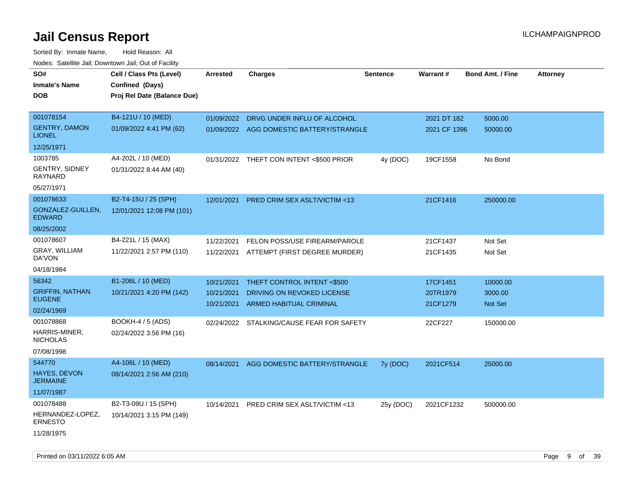| SO#<br><b>Inmate's Name</b><br><b>DOB</b> | Cell / Class Pts (Level)<br>Confined (Days)<br>Proj Rel Date (Balance Due) | Arrested   | <b>Charges</b>                            | <b>Sentence</b> | <b>Warrant#</b> | <b>Bond Amt. / Fine</b> | <b>Attorney</b> |
|-------------------------------------------|----------------------------------------------------------------------------|------------|-------------------------------------------|-----------------|-----------------|-------------------------|-----------------|
| 001078154                                 | B4-121U / 10 (MED)                                                         | 01/09/2022 | DRVG UNDER INFLU OF ALCOHOL               |                 | 2021 DT 182     | 5000.00                 |                 |
| <b>GENTRY, DAMON</b><br><b>LIONEL</b>     | 01/09/2022 4:41 PM (62)                                                    |            | 01/09/2022 AGG DOMESTIC BATTERY/STRANGLE  |                 | 2021 CF 1396    | 50000.00                |                 |
| 12/25/1971                                |                                                                            |            |                                           |                 |                 |                         |                 |
| 1003785                                   | A4-202L / 10 (MED)                                                         |            | 01/31/2022 THEFT CON INTENT <\$500 PRIOR  | 4y (DOC)        | 19CF1558        | No Bond                 |                 |
| GENTRY, SIDNEY<br>RAYNARD                 | 01/31/2022 8:44 AM (40)                                                    |            |                                           |                 |                 |                         |                 |
| 05/27/1971                                |                                                                            |            |                                           |                 |                 |                         |                 |
| 001078633                                 | B2-T4-15U / 25 (SPH)                                                       | 12/01/2021 | PRED CRIM SEX ASLT/VICTIM <13             |                 | 21CF1416        | 250000.00               |                 |
| GONZALEZ-GUILLEN,<br><b>EDWARD</b>        | 12/01/2021 12:08 PM (101)                                                  |            |                                           |                 |                 |                         |                 |
| 08/25/2002                                |                                                                            |            |                                           |                 |                 |                         |                 |
| 001078607                                 | B4-221L / 15 (MAX)                                                         | 11/22/2021 | FELON POSS/USE FIREARM/PAROLE             |                 | 21CF1437        | Not Set                 |                 |
| GRAY, WILLIAM<br>DA'VON                   | 11/22/2021 2:57 PM (110)                                                   | 11/22/2021 | ATTEMPT (FIRST DEGREE MURDER)             |                 | 21CF1435        | Not Set                 |                 |
| 04/18/1984                                |                                                                            |            |                                           |                 |                 |                         |                 |
| 56342                                     | B1-206L / 10 (MED)                                                         | 10/21/2021 | THEFT CONTROL INTENT <\$500               |                 | 17CF1451        | 10000.00                |                 |
| <b>GRIFFIN, NATHAN</b><br><b>EUGENE</b>   | 10/21/2021 4:20 PM (142)                                                   | 10/21/2021 | DRIVING ON REVOKED LICENSE                |                 | 20TR1979        | 3000.00                 |                 |
| 02/24/1969                                |                                                                            | 10/21/2021 | ARMED HABITUAL CRIMINAL                   |                 | 21CF1279        | <b>Not Set</b>          |                 |
| 001078868                                 | <b>BOOKH-4 / 5 (ADS)</b>                                                   |            | 02/24/2022 STALKING/CAUSE FEAR FOR SAFETY |                 | 22CF227         | 150000.00               |                 |
| HARRIS-MINER,<br><b>NICHOLAS</b>          | 02/24/2022 3:56 PM (16)                                                    |            |                                           |                 |                 |                         |                 |
| 07/08/1998                                |                                                                            |            |                                           |                 |                 |                         |                 |
| 544770                                    | A4-106L / 10 (MED)                                                         | 08/14/2021 | AGG DOMESTIC BATTERY/STRANGLE             | 7y (DOC)        | 2021CF514       | 25000.00                |                 |
| <b>HAYES, DEVON</b><br><b>JERMAINE</b>    | 08/14/2021 2:56 AM (210)                                                   |            |                                           |                 |                 |                         |                 |
| 11/07/1987                                |                                                                            |            |                                           |                 |                 |                         |                 |
| 001078488                                 | B2-T3-09U / 15 (SPH)                                                       | 10/14/2021 | PRED CRIM SEX ASLT/VICTIM <13             | 25y (DOC)       | 2021CF1232      | 500000.00               |                 |
| HERNANDEZ-LOPEZ,<br><b>ERNESTO</b>        | 10/14/2021 3:15 PM (149)                                                   |            |                                           |                 |                 |                         |                 |
| 11/28/1975                                |                                                                            |            |                                           |                 |                 |                         |                 |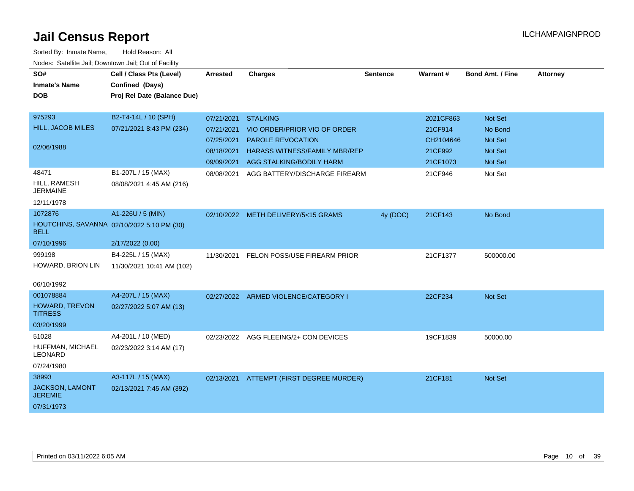| SO#                                                       | Cell / Class Pts (Level)    | <b>Arrested</b> | <b>Charges</b>                           | <b>Sentence</b> | Warrant#  | <b>Bond Amt. / Fine</b> | <b>Attorney</b> |
|-----------------------------------------------------------|-----------------------------|-----------------|------------------------------------------|-----------------|-----------|-------------------------|-----------------|
| <b>Inmate's Name</b>                                      | Confined (Days)             |                 |                                          |                 |           |                         |                 |
| <b>DOB</b>                                                | Proj Rel Date (Balance Due) |                 |                                          |                 |           |                         |                 |
|                                                           |                             |                 |                                          |                 |           |                         |                 |
| 975293                                                    | B2-T4-14L / 10 (SPH)        | 07/21/2021      | <b>STALKING</b>                          |                 | 2021CF863 | <b>Not Set</b>          |                 |
| HILL, JACOB MILES                                         | 07/21/2021 8:43 PM (234)    | 07/21/2021      | VIO ORDER/PRIOR VIO OF ORDER             |                 | 21CF914   | No Bond                 |                 |
|                                                           |                             | 07/25/2021      | PAROLE REVOCATION                        |                 | CH2104646 | Not Set                 |                 |
| 02/06/1988                                                |                             | 08/18/2021      | <b>HARASS WITNESS/FAMILY MBR/REP</b>     |                 | 21CF992   | <b>Not Set</b>          |                 |
|                                                           |                             | 09/09/2021      | AGG STALKING/BODILY HARM                 |                 | 21CF1073  | <b>Not Set</b>          |                 |
| 48471                                                     | B1-207L / 15 (MAX)          | 08/08/2021      | AGG BATTERY/DISCHARGE FIREARM            |                 | 21CF946   | Not Set                 |                 |
| HILL, RAMESH<br><b>JERMAINE</b>                           | 08/08/2021 4:45 AM (216)    |                 |                                          |                 |           |                         |                 |
| 12/11/1978                                                |                             |                 |                                          |                 |           |                         |                 |
| 1072876                                                   | A1-226U / 5 (MIN)           |                 | 02/10/2022 METH DELIVERY/5<15 GRAMS      | 4y (DOC)        | 21CF143   | No Bond                 |                 |
| HOUTCHINS, SAVANNA 02/10/2022 5:10 PM (30)<br><b>BELL</b> |                             |                 |                                          |                 |           |                         |                 |
| 07/10/1996                                                | 2/17/2022 (0.00)            |                 |                                          |                 |           |                         |                 |
| 999198                                                    | B4-225L / 15 (MAX)          | 11/30/2021      | FELON POSS/USE FIREARM PRIOR             |                 | 21CF1377  | 500000.00               |                 |
| HOWARD, BRION LIN                                         | 11/30/2021 10:41 AM (102)   |                 |                                          |                 |           |                         |                 |
|                                                           |                             |                 |                                          |                 |           |                         |                 |
| 06/10/1992                                                |                             |                 |                                          |                 |           |                         |                 |
| 001078884                                                 | A4-207L / 15 (MAX)          |                 | 02/27/2022 ARMED VIOLENCE/CATEGORY I     |                 | 22CF234   | <b>Not Set</b>          |                 |
| HOWARD, TREVON<br><b>TITRESS</b>                          | 02/27/2022 5:07 AM (13)     |                 |                                          |                 |           |                         |                 |
| 03/20/1999                                                |                             |                 |                                          |                 |           |                         |                 |
| 51028                                                     | A4-201L / 10 (MED)          |                 | 02/23/2022 AGG FLEEING/2+ CON DEVICES    |                 | 19CF1839  | 50000.00                |                 |
| HUFFMAN, MICHAEL<br><b>LEONARD</b>                        | 02/23/2022 3:14 AM (17)     |                 |                                          |                 |           |                         |                 |
| 07/24/1980                                                |                             |                 |                                          |                 |           |                         |                 |
| 38993                                                     | A3-117L / 15 (MAX)          |                 | 02/13/2021 ATTEMPT (FIRST DEGREE MURDER) |                 | 21CF181   | <b>Not Set</b>          |                 |
| JACKSON, LAMONT<br><b>JEREMIE</b>                         | 02/13/2021 7:45 AM (392)    |                 |                                          |                 |           |                         |                 |
| 07/31/1973                                                |                             |                 |                                          |                 |           |                         |                 |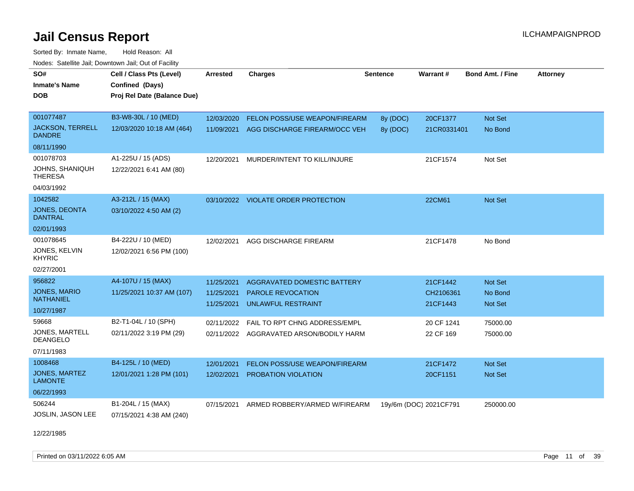Sorted By: Inmate Name, Hold Reason: All Nodes: Satellite Jail; Downtown Jail; Out of Facility

| SO#<br><b>Inmate's Name</b><br><b>DOB</b> | Cell / Class Pts (Level)<br>Confined (Days)<br>Proj Rel Date (Balance Due) | <b>Arrested</b> | <b>Charges</b>                          | <b>Sentence</b> | Warrant#               | <b>Bond Amt. / Fine</b> | <b>Attorney</b> |
|-------------------------------------------|----------------------------------------------------------------------------|-----------------|-----------------------------------------|-----------------|------------------------|-------------------------|-----------------|
| 001077487                                 | B3-W8-30L / 10 (MED)                                                       | 12/03/2020      | FELON POSS/USE WEAPON/FIREARM           | 8y (DOC)        | 20CF1377               | Not Set                 |                 |
| <b>JACKSON, TERRELL</b><br><b>DANDRE</b>  | 12/03/2020 10:18 AM (464)                                                  | 11/09/2021      | AGG DISCHARGE FIREARM/OCC VEH           | 8y (DOC)        | 21CR0331401            | No Bond                 |                 |
| 08/11/1990                                |                                                                            |                 |                                         |                 |                        |                         |                 |
| 001078703                                 | A1-225U / 15 (ADS)                                                         | 12/20/2021      | MURDER/INTENT TO KILL/INJURE            |                 | 21CF1574               | Not Set                 |                 |
| JOHNS, SHANIQUH<br><b>THERESA</b>         | 12/22/2021 6:41 AM (80)                                                    |                 |                                         |                 |                        |                         |                 |
| 04/03/1992                                |                                                                            |                 |                                         |                 |                        |                         |                 |
| 1042582                                   | A3-212L / 15 (MAX)                                                         |                 | 03/10/2022 VIOLATE ORDER PROTECTION     |                 | 22CM61                 | Not Set                 |                 |
| JONES, DEONTA<br><b>DANTRAL</b>           | 03/10/2022 4:50 AM (2)                                                     |                 |                                         |                 |                        |                         |                 |
| 02/01/1993                                |                                                                            |                 |                                         |                 |                        |                         |                 |
| 001078645                                 | B4-222U / 10 (MED)                                                         | 12/02/2021      | AGG DISCHARGE FIREARM                   |                 | 21CF1478               | No Bond                 |                 |
| JONES, KELVIN<br><b>KHYRIC</b>            | 12/02/2021 6:56 PM (100)                                                   |                 |                                         |                 |                        |                         |                 |
| 02/27/2001                                |                                                                            |                 |                                         |                 |                        |                         |                 |
| 956822                                    | A4-107U / 15 (MAX)                                                         | 11/25/2021      | <b>AGGRAVATED DOMESTIC BATTERY</b>      |                 | 21CF1442               | Not Set                 |                 |
| <b>JONES, MARIO</b>                       | 11/25/2021 10:37 AM (107)                                                  | 11/25/2021      | PAROLE REVOCATION                       |                 | CH2106361              | No Bond                 |                 |
| <b>NATHANIEL</b>                          |                                                                            | 11/25/2021      | UNLAWFUL RESTRAINT                      |                 | 21CF1443               | <b>Not Set</b>          |                 |
| 10/27/1987                                |                                                                            |                 |                                         |                 |                        |                         |                 |
| 59668                                     | B2-T1-04L / 10 (SPH)                                                       | 02/11/2022      | FAIL TO RPT CHNG ADDRESS/EMPL           |                 | 20 CF 1241             | 75000.00                |                 |
| <b>JONES, MARTELL</b><br><b>DEANGELO</b>  | 02/11/2022 3:19 PM (29)                                                    |                 | 02/11/2022 AGGRAVATED ARSON/BODILY HARM |                 | 22 CF 169              | 75000.00                |                 |
| 07/11/1983                                |                                                                            |                 |                                         |                 |                        |                         |                 |
| 1008468                                   | B4-125L / 10 (MED)                                                         | 12/01/2021      | <b>FELON POSS/USE WEAPON/FIREARM</b>    |                 | 21CF1472               | <b>Not Set</b>          |                 |
| JONES, MARTEZ<br><b>LAMONTE</b>           | 12/01/2021 1:28 PM (101)                                                   | 12/02/2021      | PROBATION VIOLATION                     |                 | 20CF1151               | Not Set                 |                 |
| 06/22/1993                                |                                                                            |                 |                                         |                 |                        |                         |                 |
| 506244<br><b>JOSLIN, JASON LEE</b>        | B1-204L / 15 (MAX)<br>07/15/2021 4:38 AM (240)                             | 07/15/2021      | ARMED ROBBERY/ARMED W/FIREARM           |                 | 19y/6m (DOC) 2021CF791 | 250000.00               |                 |

12/22/1985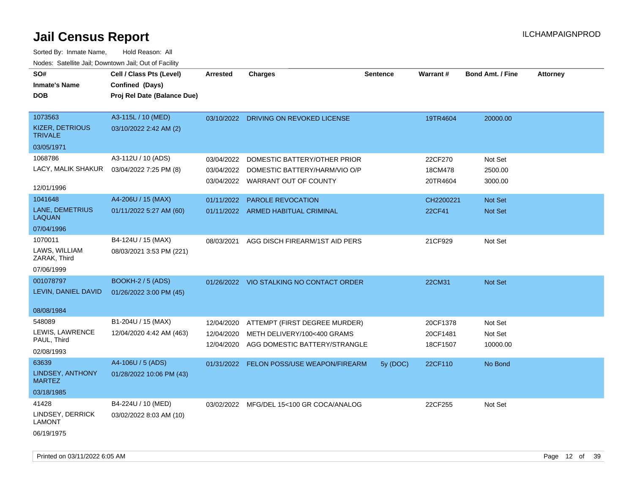| SO#<br><b>Inmate's Name</b><br><b>DOB</b>                | Cell / Class Pts (Level)<br>Confined (Days)<br>Proj Rel Date (Balance Due) | <b>Arrested</b>                        | <b>Charges</b>                                                                                    | <b>Sentence</b> | Warrant#                         | <b>Bond Amt. / Fine</b>        | <b>Attorney</b> |
|----------------------------------------------------------|----------------------------------------------------------------------------|----------------------------------------|---------------------------------------------------------------------------------------------------|-----------------|----------------------------------|--------------------------------|-----------------|
| 1073563<br><b>KIZER, DETRIOUS</b><br><b>TRIVALE</b>      | A3-115L / 10 (MED)<br>03/10/2022 2:42 AM (2)                               |                                        | 03/10/2022 DRIVING ON REVOKED LICENSE                                                             |                 | 19TR4604                         | 20000.00                       |                 |
| 03/05/1971                                               |                                                                            |                                        |                                                                                                   |                 |                                  |                                |                 |
| 1068786<br>LACY, MALIK SHAKUR                            | A3-112U / 10 (ADS)<br>03/04/2022 7:25 PM (8)                               | 03/04/2022<br>03/04/2022               | DOMESTIC BATTERY/OTHER PRIOR<br>DOMESTIC BATTERY/HARM/VIO O/P<br>03/04/2022 WARRANT OUT OF COUNTY |                 | 22CF270<br>18CM478<br>20TR4604   | Not Set<br>2500.00<br>3000.00  |                 |
| 12/01/1996                                               |                                                                            |                                        |                                                                                                   |                 |                                  |                                |                 |
| 1041648<br>LANE, DEMETRIUS<br><b>LAQUAN</b>              | A4-206U / 15 (MAX)<br>01/11/2022 5:27 AM (60)                              | 01/11/2022                             | PAROLE REVOCATION<br>01/11/2022 ARMED HABITUAL CRIMINAL                                           |                 | CH2200221<br>22CF41              | Not Set<br>Not Set             |                 |
| 07/04/1996                                               |                                                                            |                                        |                                                                                                   |                 |                                  |                                |                 |
| 1070011<br>LAWS, WILLIAM<br>ZARAK, Third                 | B4-124U / 15 (MAX)<br>08/03/2021 3:53 PM (221)                             | 08/03/2021                             | AGG DISCH FIREARM/1ST AID PERS                                                                    |                 | 21CF929                          | Not Set                        |                 |
| 07/06/1999                                               |                                                                            |                                        |                                                                                                   |                 |                                  |                                |                 |
| 001078797<br>LEVIN, DANIEL DAVID                         | <b>BOOKH-2 / 5 (ADS)</b><br>01/26/2022 3:00 PM (45)                        |                                        | 01/26/2022 VIO STALKING NO CONTACT ORDER                                                          |                 | 22CM31                           | Not Set                        |                 |
| 08/08/1984                                               |                                                                            |                                        |                                                                                                   |                 |                                  |                                |                 |
| 548089<br>LEWIS, LAWRENCE<br>PAUL, Third<br>02/08/1993   | B1-204U / 15 (MAX)<br>12/04/2020 4:42 AM (463)                             | 12/04/2020<br>12/04/2020<br>12/04/2020 | ATTEMPT (FIRST DEGREE MURDER)<br>METH DELIVERY/100<400 GRAMS<br>AGG DOMESTIC BATTERY/STRANGLE     |                 | 20CF1378<br>20CF1481<br>18CF1507 | Not Set<br>Not Set<br>10000.00 |                 |
| 63639<br>LINDSEY, ANTHONY<br><b>MARTEZ</b>               | A4-106U / 5 (ADS)<br>01/28/2022 10:06 PM (43)                              |                                        | 01/31/2022 FELON POSS/USE WEAPON/FIREARM                                                          | 5y (DOC)        | 22CF110                          | No Bond                        |                 |
| 03/18/1985                                               |                                                                            |                                        |                                                                                                   |                 |                                  |                                |                 |
| 41428<br>LINDSEY, DERRICK<br><b>LAMONT</b><br>06/19/1975 | B4-224U / 10 (MED)<br>03/02/2022 8:03 AM (10)                              |                                        | 03/02/2022 MFG/DEL 15<100 GR COCA/ANALOG                                                          |                 | 22CF255                          | Not Set                        |                 |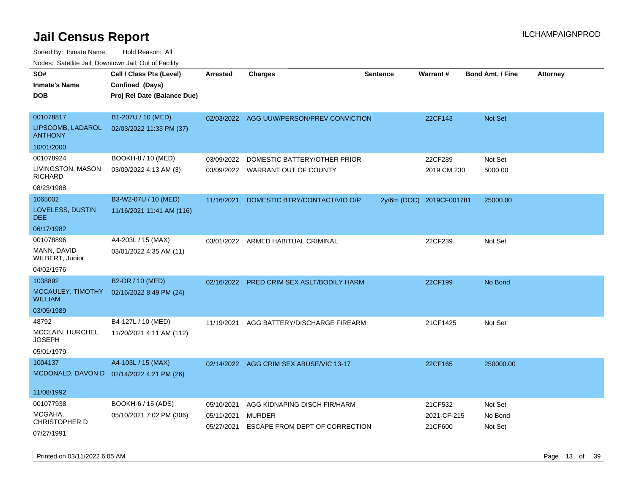Sorted By: Inmate Name, Hold Reason: All Nodes: Satellite Jail; Downtown Jail; Out of Facility

| SO#                                 | Cell / Class Pts (Level)<br>Confined (Days) | <b>Arrested</b> | <b>Charges</b>                            | <b>Sentence</b> | Warrant#                 | <b>Bond Amt. / Fine</b> | <b>Attorney</b> |
|-------------------------------------|---------------------------------------------|-----------------|-------------------------------------------|-----------------|--------------------------|-------------------------|-----------------|
| <b>Inmate's Name</b><br><b>DOB</b>  |                                             |                 |                                           |                 |                          |                         |                 |
|                                     | Proj Rel Date (Balance Due)                 |                 |                                           |                 |                          |                         |                 |
| 001078817                           | B1-207U / 10 (MED)                          |                 | 02/03/2022 AGG UUW/PERSON/PREV CONVICTION |                 | 22CF143                  | <b>Not Set</b>          |                 |
| LIPSCOMB, LADAROL<br><b>ANTHONY</b> | 02/03/2022 11:33 PM (37)                    |                 |                                           |                 |                          |                         |                 |
| 10/01/2000                          |                                             |                 |                                           |                 |                          |                         |                 |
| 001078924                           | BOOKH-8 / 10 (MED)                          | 03/09/2022      | DOMESTIC BATTERY/OTHER PRIOR              |                 | 22CF289                  | Not Set                 |                 |
| LIVINGSTON, MASON<br><b>RICHARD</b> | 03/09/2022 4:13 AM (3)                      |                 | 03/09/2022 WARRANT OUT OF COUNTY          |                 | 2019 CM 230              | 5000.00                 |                 |
| 08/23/1988                          |                                             |                 |                                           |                 |                          |                         |                 |
| 1065002                             | B3-W2-07U / 10 (MED)                        | 11/16/2021      | DOMESTIC BTRY/CONTACT/VIO O/P             |                 | 2y/6m (DOC) 2019CF001781 | 25000.00                |                 |
| LOVELESS, DUSTIN<br>DEE.            | 11/16/2021 11:41 AM (116)                   |                 |                                           |                 |                          |                         |                 |
| 06/17/1982                          |                                             |                 |                                           |                 |                          |                         |                 |
| 001078896                           | A4-203L / 15 (MAX)                          |                 | 03/01/2022 ARMED HABITUAL CRIMINAL        |                 | 22CF239                  | Not Set                 |                 |
| MANN, DAVID<br>WILBERT, Junior      | 03/01/2022 4:35 AM (11)                     |                 |                                           |                 |                          |                         |                 |
| 04/02/1976                          |                                             |                 |                                           |                 |                          |                         |                 |
| 1038892                             | B2-DR / 10 (MED)                            | 02/16/2022      | <b>PRED CRIM SEX ASLT/BODILY HARM</b>     |                 | 22CF199                  | No Bond                 |                 |
| MCCAULEY, TIMOTHY<br>WILLIAM        | 02/16/2022 8:49 PM (24)                     |                 |                                           |                 |                          |                         |                 |
| 03/05/1989                          |                                             |                 |                                           |                 |                          |                         |                 |
| 48792                               | B4-127L / 10 (MED)                          | 11/19/2021      | AGG BATTERY/DISCHARGE FIREARM             |                 | 21CF1425                 | Not Set                 |                 |
| MCCLAIN, HURCHEL<br>JOSEPH          | 11/20/2021 4:11 AM (112)                    |                 |                                           |                 |                          |                         |                 |
| 05/01/1979                          |                                             |                 |                                           |                 |                          |                         |                 |
| 1004137                             | A4-103L / 15 (MAX)                          |                 | 02/14/2022 AGG CRIM SEX ABUSE/VIC 13-17   |                 | 22CF165                  | 250000.00               |                 |
|                                     | MCDONALD, DAVON D 02/14/2022 4:21 PM (26)   |                 |                                           |                 |                          |                         |                 |
| 11/08/1992                          |                                             |                 |                                           |                 |                          |                         |                 |
| 001077938                           | BOOKH-6 / 15 (ADS)                          | 05/10/2021      | AGG KIDNAPING DISCH FIR/HARM              |                 | 21CF532                  | Not Set                 |                 |
| MCGAHA,<br>CHRISTOPHER D            | 05/10/2021 7:02 PM (306)                    | 05/11/2021      | MURDER                                    |                 | 2021-CF-215              | No Bond                 |                 |
| 07/27/1991                          |                                             | 05/27/2021      | ESCAPE FROM DEPT OF CORRECTION            |                 | 21CF600                  | Not Set                 |                 |
|                                     |                                             |                 |                                           |                 |                          |                         |                 |

Printed on 03/11/2022 6:05 AM **Page 13** of 39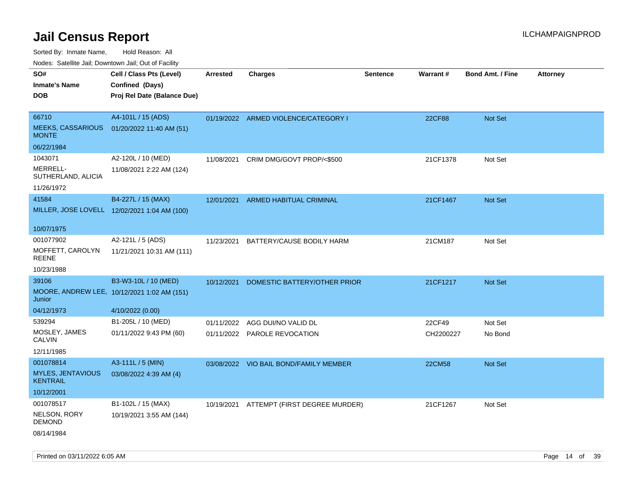Sorted By: Inmate Name, Hold Reason: All

Nodes: Satellite Jail; Downtown Jail; Out of Facility

| SO#<br><b>Inmate's Name</b>                 | Cell / Class Pts (Level)<br>Confined (Days)  | <b>Arrested</b> | <b>Charges</b>                         | <b>Sentence</b> | Warrant#      | <b>Bond Amt. / Fine</b> | <b>Attorney</b> |
|---------------------------------------------|----------------------------------------------|-----------------|----------------------------------------|-----------------|---------------|-------------------------|-----------------|
| <b>DOB</b>                                  | Proj Rel Date (Balance Due)                  |                 |                                        |                 |               |                         |                 |
|                                             |                                              |                 |                                        |                 |               |                         |                 |
| 66710                                       | A4-101L / 15 (ADS)                           |                 | 01/19/2022 ARMED VIOLENCE/CATEGORY I   |                 | 22CF88        | Not Set                 |                 |
| <b>MEEKS, CASSARIOUS</b><br><b>MONTE</b>    | 01/20/2022 11:40 AM (51)                     |                 |                                        |                 |               |                         |                 |
| 06/22/1984                                  |                                              |                 |                                        |                 |               |                         |                 |
| 1043071                                     | A2-120L / 10 (MED)                           | 11/08/2021      | CRIM DMG/GOVT PROP/<\$500              |                 | 21CF1378      | Not Set                 |                 |
| MERRELL-<br>SUTHERLAND, ALICIA              | 11/08/2021 2:22 AM (124)                     |                 |                                        |                 |               |                         |                 |
| 11/26/1972                                  |                                              |                 |                                        |                 |               |                         |                 |
| 41584                                       | B4-227L / 15 (MAX)                           | 12/01/2021      | ARMED HABITUAL CRIMINAL                |                 | 21CF1467      | Not Set                 |                 |
|                                             | MILLER, JOSE LOVELL 12/02/2021 1:04 AM (100) |                 |                                        |                 |               |                         |                 |
| 10/07/1975                                  |                                              |                 |                                        |                 |               |                         |                 |
| 001077902                                   | A2-121L / 5 (ADS)                            | 11/23/2021      | BATTERY/CAUSE BODILY HARM              |                 | 21CM187       | Not Set                 |                 |
| MOFFETT, CAROLYN<br><b>REENE</b>            | 11/21/2021 10:31 AM (111)                    |                 |                                        |                 |               |                         |                 |
| 10/23/1988                                  |                                              |                 |                                        |                 |               |                         |                 |
| 39106                                       | B3-W3-10L / 10 (MED)                         | 10/12/2021      | DOMESTIC BATTERY/OTHER PRIOR           |                 | 21CF1217      | Not Set                 |                 |
| Junior                                      | MOORE, ANDREW LEE, 10/12/2021 1:02 AM (151)  |                 |                                        |                 |               |                         |                 |
| 04/12/1973                                  | 4/10/2022 (0.00)                             |                 |                                        |                 |               |                         |                 |
| 539294                                      | B1-205L / 10 (MED)                           |                 | 01/11/2022 AGG DUI/NO VALID DL         |                 | 22CF49        | Not Set                 |                 |
| MOSLEY, JAMES<br><b>CALVIN</b>              | 01/11/2022 9:43 PM (60)                      |                 | 01/11/2022 PAROLE REVOCATION           |                 | CH2200227     | No Bond                 |                 |
| 12/11/1985                                  |                                              |                 |                                        |                 |               |                         |                 |
| 001078814                                   | A3-111L / 5 (MIN)                            |                 | 03/08/2022 VIO BAIL BOND/FAMILY MEMBER |                 | <b>22CM58</b> | Not Set                 |                 |
| <b>MYLES, JENTAVIOUS</b><br><b>KENTRAIL</b> | 03/08/2022 4:39 AM (4)                       |                 |                                        |                 |               |                         |                 |
| 10/12/2001                                  |                                              |                 |                                        |                 |               |                         |                 |
| 001078517                                   | B1-102L / 15 (MAX)                           | 10/19/2021      | ATTEMPT (FIRST DEGREE MURDER)          |                 | 21CF1267      | Not Set                 |                 |
| NELSON, RORY<br><b>DEMOND</b>               | 10/19/2021 3:55 AM (144)                     |                 |                                        |                 |               |                         |                 |
| 08/14/1984                                  |                                              |                 |                                        |                 |               |                         |                 |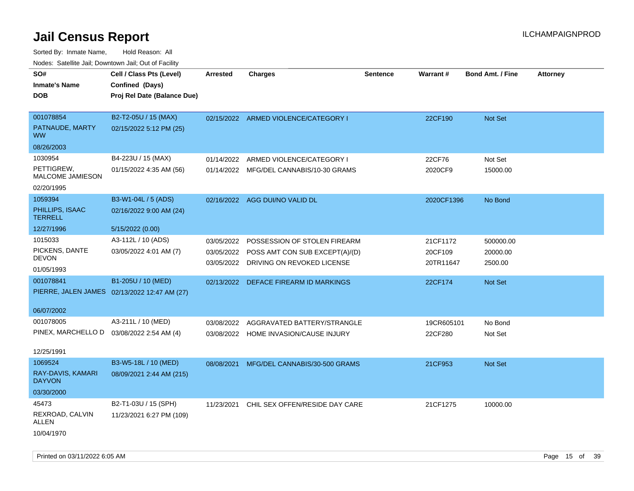Sorted By: Inmate Name, Hold Reason: All Nodes: Satellite Jail; Downtown Jail; Out of Facility

| ivoues. Salellite Jali, Downtown Jali, Out of Facility |                                              |            |                                         |                 |                 |                         |                 |
|--------------------------------------------------------|----------------------------------------------|------------|-----------------------------------------|-----------------|-----------------|-------------------------|-----------------|
| SO#                                                    | Cell / Class Pts (Level)                     | Arrested   | <b>Charges</b>                          | <b>Sentence</b> | <b>Warrant#</b> | <b>Bond Amt. / Fine</b> | <b>Attorney</b> |
| <b>Inmate's Name</b>                                   | Confined (Days)                              |            |                                         |                 |                 |                         |                 |
| <b>DOB</b>                                             | Proj Rel Date (Balance Due)                  |            |                                         |                 |                 |                         |                 |
|                                                        |                                              |            |                                         |                 |                 |                         |                 |
| 001078854                                              | B2-T2-05U / 15 (MAX)                         |            | 02/15/2022 ARMED VIOLENCE/CATEGORY I    |                 | 22CF190         | Not Set                 |                 |
| PATNAUDE, MARTY<br><b>WW</b>                           | 02/15/2022 5:12 PM (25)                      |            |                                         |                 |                 |                         |                 |
| 08/26/2003                                             |                                              |            |                                         |                 |                 |                         |                 |
| 1030954                                                | B4-223U / 15 (MAX)                           | 01/14/2022 | ARMED VIOLENCE/CATEGORY I               |                 | 22CF76          | Not Set                 |                 |
| PETTIGREW,<br>MALCOME JAMIESON                         | 01/15/2022 4:35 AM (56)                      |            | 01/14/2022 MFG/DEL CANNABIS/10-30 GRAMS |                 | 2020CF9         | 15000.00                |                 |
| 02/20/1995                                             |                                              |            |                                         |                 |                 |                         |                 |
| 1059394                                                | B3-W1-04L / 5 (ADS)                          |            | 02/16/2022 AGG DUI/NO VALID DL          |                 | 2020CF1396      | No Bond                 |                 |
| PHILLIPS, ISAAC<br><b>TERRELL</b>                      | 02/16/2022 9:00 AM (24)                      |            |                                         |                 |                 |                         |                 |
| 12/27/1996                                             | 5/15/2022 (0.00)                             |            |                                         |                 |                 |                         |                 |
| 1015033                                                | A3-112L / 10 (ADS)                           | 03/05/2022 | POSSESSION OF STOLEN FIREARM            |                 | 21CF1172        | 500000.00               |                 |
| PICKENS, DANTE                                         | 03/05/2022 4:01 AM (7)                       | 03/05/2022 | POSS AMT CON SUB EXCEPT(A)/(D)          |                 | 20CF109         | 20000.00                |                 |
| <b>DEVON</b>                                           |                                              | 03/05/2022 | DRIVING ON REVOKED LICENSE              |                 | 20TR11647       | 2500.00                 |                 |
| 01/05/1993                                             |                                              |            |                                         |                 |                 |                         |                 |
| 001078841                                              | B1-205U / 10 (MED)                           | 02/13/2022 | DEFACE FIREARM ID MARKINGS              |                 | 22CF174         | <b>Not Set</b>          |                 |
|                                                        | PIERRE, JALEN JAMES 02/13/2022 12:47 AM (27) |            |                                         |                 |                 |                         |                 |
| 06/07/2002                                             |                                              |            |                                         |                 |                 |                         |                 |
| 001078005                                              | A3-211L / 10 (MED)                           | 03/08/2022 | AGGRAVATED BATTERY/STRANGLE             |                 | 19CR605101      | No Bond                 |                 |
| PINEX, MARCHELLO D  03/08/2022 2:54 AM (4)             |                                              |            | 03/08/2022 HOME INVASION/CAUSE INJURY   |                 | 22CF280         | Not Set                 |                 |
|                                                        |                                              |            |                                         |                 |                 |                         |                 |
| 12/25/1991                                             |                                              |            |                                         |                 |                 |                         |                 |
| 1069524                                                | B3-W5-18L / 10 (MED)                         | 08/08/2021 | MFG/DEL CANNABIS/30-500 GRAMS           |                 | 21CF953         | Not Set                 |                 |
| RAY-DAVIS, KAMARI<br><b>DAYVON</b>                     | 08/09/2021 2:44 AM (215)                     |            |                                         |                 |                 |                         |                 |
| 03/30/2000                                             |                                              |            |                                         |                 |                 |                         |                 |
| 45473                                                  | B2-T1-03U / 15 (SPH)                         | 11/23/2021 | CHIL SEX OFFEN/RESIDE DAY CARE          |                 | 21CF1275        | 10000.00                |                 |
| REXROAD, CALVIN<br>ALLEN                               | 11/23/2021 6:27 PM (109)                     |            |                                         |                 |                 |                         |                 |
| 10/04/1970                                             |                                              |            |                                         |                 |                 |                         |                 |

Printed on 03/11/2022 6:05 AM Page 15 of 39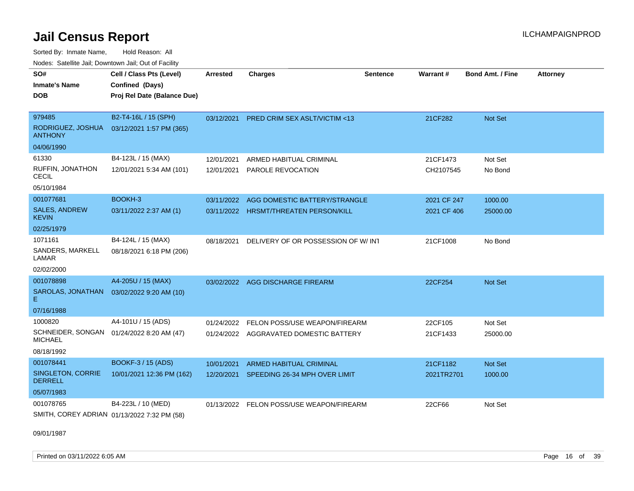Sorted By: Inmate Name, Hold Reason: All Nodes: Satellite Jail; Downtown Jail; Out of Facility

| SO#                                         | Cell / Class Pts (Level)                  | <b>Arrested</b> | <b>Charges</b>                           | <b>Sentence</b> | Warrant#    | <b>Bond Amt. / Fine</b> | <b>Attorney</b> |
|---------------------------------------------|-------------------------------------------|-----------------|------------------------------------------|-----------------|-------------|-------------------------|-----------------|
| Inmate's Name                               | Confined (Days)                           |                 |                                          |                 |             |                         |                 |
| <b>DOB</b>                                  | Proj Rel Date (Balance Due)               |                 |                                          |                 |             |                         |                 |
|                                             |                                           |                 |                                          |                 |             |                         |                 |
| 979485                                      | B2-T4-16L / 15 (SPH)                      | 03/12/2021      | PRED CRIM SEX ASLT/VICTIM <13            |                 | 21CF282     | Not Set                 |                 |
| RODRIGUEZ, JOSHUA<br><b>ANTHONY</b>         | 03/12/2021 1:57 PM (365)                  |                 |                                          |                 |             |                         |                 |
| 04/06/1990                                  |                                           |                 |                                          |                 |             |                         |                 |
| 61330                                       | B4-123L / 15 (MAX)                        | 12/01/2021      | ARMED HABITUAL CRIMINAL                  |                 | 21CF1473    | Not Set                 |                 |
| RUFFIN, JONATHON<br><b>CECIL</b>            | 12/01/2021 5:34 AM (101)                  | 12/01/2021      | PAROLE REVOCATION                        |                 | CH2107545   | No Bond                 |                 |
| 05/10/1984                                  |                                           |                 |                                          |                 |             |                         |                 |
| 001077681                                   | BOOKH-3                                   | 03/11/2022      | AGG DOMESTIC BATTERY/STRANGLE            |                 | 2021 CF 247 | 1000.00                 |                 |
| <b>SALES, ANDREW</b><br><b>KEVIN</b>        | 03/11/2022 2:37 AM (1)                    |                 | 03/11/2022 HRSMT/THREATEN PERSON/KILL    |                 | 2021 CF 406 | 25000.00                |                 |
| 02/25/1979                                  |                                           |                 |                                          |                 |             |                         |                 |
| 1071161                                     | B4-124L / 15 (MAX)                        | 08/18/2021      | DELIVERY OF OR POSSESSION OF W/INT       |                 | 21CF1008    | No Bond                 |                 |
| SANDERS, MARKELL<br>LAMAR                   | 08/18/2021 6:18 PM (206)                  |                 |                                          |                 |             |                         |                 |
| 02/02/2000                                  |                                           |                 |                                          |                 |             |                         |                 |
| 001078898                                   | A4-205U / 15 (MAX)                        |                 | 03/02/2022 AGG DISCHARGE FIREARM         |                 | 22CF254     | <b>Not Set</b>          |                 |
| SAROLAS, JONATHAN<br>E.                     | 03/02/2022 9:20 AM (10)                   |                 |                                          |                 |             |                         |                 |
| 07/16/1988                                  |                                           |                 |                                          |                 |             |                         |                 |
| 1000820                                     | A4-101U / 15 (ADS)                        | 01/24/2022      | FELON POSS/USE WEAPON/FIREARM            |                 | 22CF105     | Not Set                 |                 |
| <b>MICHAEL</b>                              | SCHNEIDER, SONGAN 01/24/2022 8:20 AM (47) |                 | 01/24/2022 AGGRAVATED DOMESTIC BATTERY   |                 | 21CF1433    | 25000.00                |                 |
| 08/18/1992                                  |                                           |                 |                                          |                 |             |                         |                 |
| 001078441                                   | BOOKF-3 / 15 (ADS)                        | 10/01/2021      | <b>ARMED HABITUAL CRIMINAL</b>           |                 | 21CF1182    | <b>Not Set</b>          |                 |
| <b>SINGLETON, CORRIE</b><br><b>DERRELL</b>  | 10/01/2021 12:36 PM (162)                 | 12/20/2021      | SPEEDING 26-34 MPH OVER LIMIT            |                 | 2021TR2701  | 1000.00                 |                 |
| 05/07/1983                                  |                                           |                 |                                          |                 |             |                         |                 |
| 001078765                                   | B4-223L / 10 (MED)                        |                 | 01/13/2022 FELON POSS/USE WEAPON/FIREARM |                 | 22CF66      | Not Set                 |                 |
| SMITH, COREY ADRIAN 01/13/2022 7:32 PM (58) |                                           |                 |                                          |                 |             |                         |                 |

09/01/1987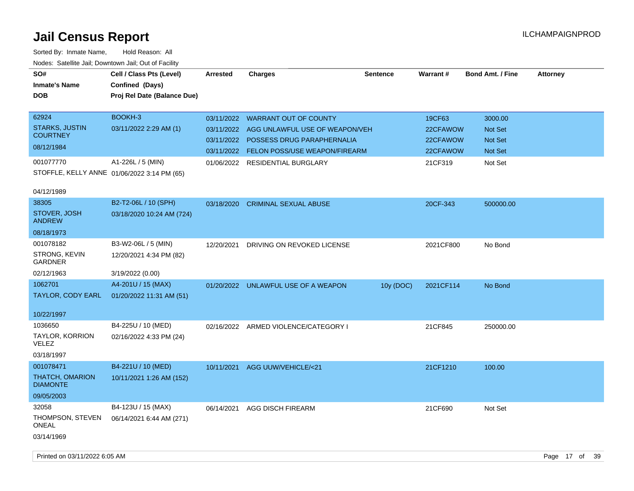Sorted By: Inmate Name, Hold Reason: All Nodes: Satellite Jail; Downtown Jail; Out of Facility

| Nodes: Satellite Jali, Downtown Jali, Out of Facility |                                             |                 |                                      |                 |           |                         |                 |
|-------------------------------------------------------|---------------------------------------------|-----------------|--------------------------------------|-----------------|-----------|-------------------------|-----------------|
| SO#                                                   | Cell / Class Pts (Level)                    | <b>Arrested</b> | Charges                              | <b>Sentence</b> | Warrant#  | <b>Bond Amt. / Fine</b> | <b>Attorney</b> |
| <b>Inmate's Name</b>                                  | Confined (Days)                             |                 |                                      |                 |           |                         |                 |
| <b>DOB</b>                                            | Proj Rel Date (Balance Due)                 |                 |                                      |                 |           |                         |                 |
|                                                       |                                             |                 |                                      |                 |           |                         |                 |
| 62924                                                 | BOOKH-3                                     | 03/11/2022      | <b>WARRANT OUT OF COUNTY</b>         |                 | 19CF63    | 3000.00                 |                 |
| <b>STARKS, JUSTIN</b>                                 | 03/11/2022 2:29 AM (1)                      | 03/11/2022      | AGG UNLAWFUL USE OF WEAPON/VEH       |                 | 22CFAWOW  | <b>Not Set</b>          |                 |
| <b>COURTNEY</b>                                       |                                             | 03/11/2022      | <b>POSSESS DRUG PARAPHERNALIA</b>    |                 | 22CFAWOW  | <b>Not Set</b>          |                 |
| 08/12/1984                                            |                                             | 03/11/2022      | <b>FELON POSS/USE WEAPON/FIREARM</b> |                 | 22CFAWOW  | <b>Not Set</b>          |                 |
| 001077770                                             | A1-226L / 5 (MIN)                           | 01/06/2022      | <b>RESIDENTIAL BURGLARY</b>          |                 | 21CF319   | Not Set                 |                 |
|                                                       | STOFFLE, KELLY ANNE 01/06/2022 3:14 PM (65) |                 |                                      |                 |           |                         |                 |
|                                                       |                                             |                 |                                      |                 |           |                         |                 |
| 04/12/1989                                            |                                             |                 |                                      |                 |           |                         |                 |
| 38305                                                 | B2-T2-06L / 10 (SPH)                        | 03/18/2020      | <b>CRIMINAL SEXUAL ABUSE</b>         |                 | 20CF-343  | 500000.00               |                 |
| STOVER, JOSH                                          | 03/18/2020 10:24 AM (724)                   |                 |                                      |                 |           |                         |                 |
| <b>ANDREW</b>                                         |                                             |                 |                                      |                 |           |                         |                 |
| 08/18/1973                                            |                                             |                 |                                      |                 |           |                         |                 |
| 001078182                                             | B3-W2-06L / 5 (MIN)                         | 12/20/2021      | DRIVING ON REVOKED LICENSE           |                 | 2021CF800 | No Bond                 |                 |
| <b>STRONG, KEVIN</b><br><b>GARDNER</b>                | 12/20/2021 4:34 PM (82)                     |                 |                                      |                 |           |                         |                 |
| 02/12/1963                                            | 3/19/2022 (0.00)                            |                 |                                      |                 |           |                         |                 |
| 1062701                                               | A4-201U / 15 (MAX)                          |                 | 01/20/2022 UNLAWFUL USE OF A WEAPON  | 10y (DOC)       | 2021CF114 | No Bond                 |                 |
| <b>TAYLOR, CODY EARL</b>                              | 01/20/2022 11:31 AM (51)                    |                 |                                      |                 |           |                         |                 |
|                                                       |                                             |                 |                                      |                 |           |                         |                 |

10/22/1997

| 1 <i>01221</i> 1997      |                         |                                      |         |           |
|--------------------------|-------------------------|--------------------------------------|---------|-----------|
| 1036650                  | B4-225U / 10 (MED)      | 02/16/2022 ARMED VIOLENCE/CATEGORY I | 21CF845 | 250000.00 |
| TAYLOR, KORRION<br>VELEZ | 02/16/2022 4:33 PM (24) |                                      |         |           |
| 03/18/1997               |                         |                                      |         |           |

THATCH, OMARION DIAMONTE 001078471 B4-221U / 10 (MED) 10/11/2021 1:26 AM (152) 09/05/2003 10/11/2021 AGG UUW/VEHICLE/<21 21CF1210 21CF1210 100.00 THOMPSON, STEVEN 06/14/2021 6:44 AM (271) ONEAL 32058 B4-123U / 15 (MAX) 03/14/1969 06/14/2021 AGG DISCH FIREARM 21CF690 Not Set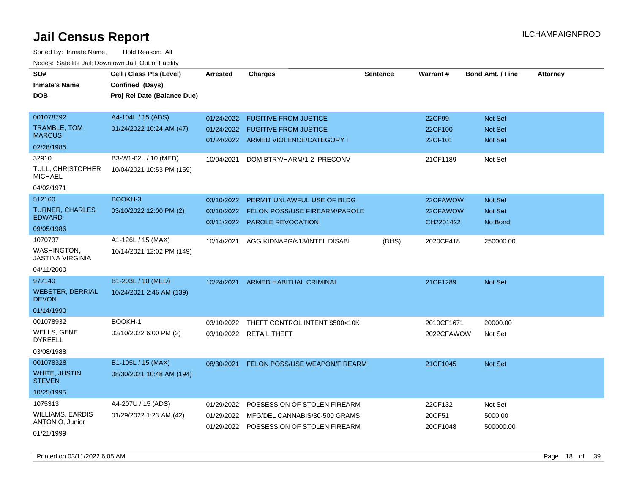| roaco. Oatomto dan, Downtown dan, Oat or Fability |                             |                 |                                         |                 |            |                         |                 |
|---------------------------------------------------|-----------------------------|-----------------|-----------------------------------------|-----------------|------------|-------------------------|-----------------|
| SO#                                               | Cell / Class Pts (Level)    | <b>Arrested</b> | <b>Charges</b>                          | <b>Sentence</b> | Warrant#   | <b>Bond Amt. / Fine</b> | <b>Attorney</b> |
| <b>Inmate's Name</b>                              | Confined (Days)             |                 |                                         |                 |            |                         |                 |
| <b>DOB</b>                                        | Proj Rel Date (Balance Due) |                 |                                         |                 |            |                         |                 |
|                                                   |                             |                 |                                         |                 |            |                         |                 |
| 001078792                                         | A4-104L / 15 (ADS)          | 01/24/2022      | <b>FUGITIVE FROM JUSTICE</b>            |                 | 22CF99     | Not Set                 |                 |
| <b>TRAMBLE, TOM</b>                               | 01/24/2022 10:24 AM (47)    | 01/24/2022      | <b>FUGITIVE FROM JUSTICE</b>            |                 | 22CF100    | <b>Not Set</b>          |                 |
| <b>MARCUS</b>                                     |                             |                 | 01/24/2022 ARMED VIOLENCE/CATEGORY I    |                 | 22CF101    | <b>Not Set</b>          |                 |
| 02/28/1985                                        |                             |                 |                                         |                 |            |                         |                 |
| 32910                                             | B3-W1-02L / 10 (MED)        | 10/04/2021      | DOM BTRY/HARM/1-2 PRECONV               |                 | 21CF1189   | Not Set                 |                 |
| <b>TULL, CHRISTOPHER</b><br><b>MICHAEL</b>        | 10/04/2021 10:53 PM (159)   |                 |                                         |                 |            |                         |                 |
| 04/02/1971                                        |                             |                 |                                         |                 |            |                         |                 |
| 512160                                            | BOOKH-3                     | 03/10/2022      | PERMIT UNLAWFUL USE OF BLDG             |                 | 22CFAWOW   | Not Set                 |                 |
| <b>TURNER, CHARLES</b>                            | 03/10/2022 12:00 PM (2)     | 03/10/2022      | FELON POSS/USE FIREARM/PAROLE           |                 | 22CFAWOW   | Not Set                 |                 |
| <b>EDWARD</b>                                     |                             | 03/11/2022      | <b>PAROLE REVOCATION</b>                |                 | CH2201422  | No Bond                 |                 |
| 09/05/1986                                        |                             |                 |                                         |                 |            |                         |                 |
| 1070737                                           | A1-126L / 15 (MAX)          | 10/14/2021      | AGG KIDNAPG/<13/INTEL DISABL            | (DHS)           | 2020CF418  | 250000.00               |                 |
| <b>WASHINGTON,</b><br><b>JASTINA VIRGINIA</b>     | 10/14/2021 12:02 PM (149)   |                 |                                         |                 |            |                         |                 |
| 04/11/2000                                        |                             |                 |                                         |                 |            |                         |                 |
| 977140                                            | B1-203L / 10 (MED)          | 10/24/2021      | <b>ARMED HABITUAL CRIMINAL</b>          |                 | 21CF1289   | <b>Not Set</b>          |                 |
| <b>WEBSTER, DERRIAL</b><br><b>DEVON</b>           | 10/24/2021 2:46 AM (139)    |                 |                                         |                 |            |                         |                 |
| 01/14/1990                                        |                             |                 |                                         |                 |            |                         |                 |
| 001078932                                         | BOOKH-1                     | 03/10/2022      | THEFT CONTROL INTENT \$500<10K          |                 | 2010CF1671 | 20000.00                |                 |
| <b>WELLS, GENE</b><br><b>DYREELL</b>              | 03/10/2022 6:00 PM (2)      |                 | 03/10/2022 RETAIL THEFT                 |                 | 2022CFAWOW | Not Set                 |                 |
| 03/08/1988                                        |                             |                 |                                         |                 |            |                         |                 |
| 001078328                                         | B1-105L / 15 (MAX)          | 08/30/2021      | FELON POSS/USE WEAPON/FIREARM           |                 | 21CF1045   | Not Set                 |                 |
| <b>WHITE, JUSTIN</b><br><b>STEVEN</b>             | 08/30/2021 10:48 AM (194)   |                 |                                         |                 |            |                         |                 |
| 10/25/1995                                        |                             |                 |                                         |                 |            |                         |                 |
| 1075313                                           | A4-207U / 15 (ADS)          | 01/29/2022      | POSSESSION OF STOLEN FIREARM            |                 | 22CF132    | Not Set                 |                 |
| <b>WILLIAMS, EARDIS</b>                           | 01/29/2022 1:23 AM (42)     | 01/29/2022      | MFG/DEL CANNABIS/30-500 GRAMS           |                 | 20CF51     | 5000.00                 |                 |
| ANTONIO, Junior                                   |                             |                 | 01/29/2022 POSSESSION OF STOLEN FIREARM |                 | 20CF1048   | 500000.00               |                 |
| 01/21/1999                                        |                             |                 |                                         |                 |            |                         |                 |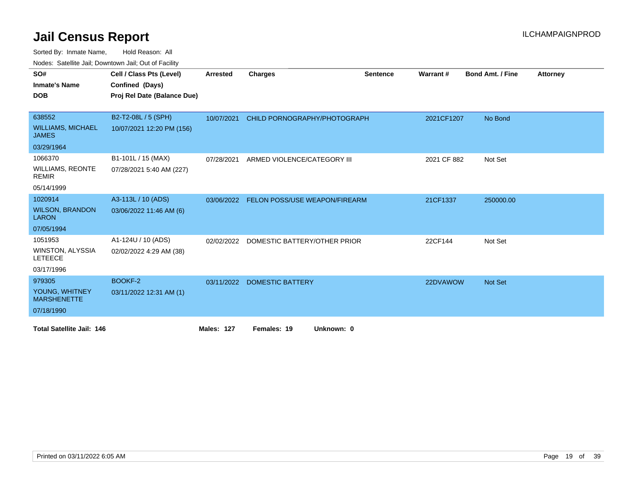| SO#                                      | Cell / Class Pts (Level)    | <b>Arrested</b> | <b>Charges</b>                          | <b>Sentence</b> | Warrant#    | <b>Bond Amt. / Fine</b> | <b>Attorney</b> |
|------------------------------------------|-----------------------------|-----------------|-----------------------------------------|-----------------|-------------|-------------------------|-----------------|
| <b>Inmate's Name</b>                     | Confined (Days)             |                 |                                         |                 |             |                         |                 |
| <b>DOB</b>                               | Proj Rel Date (Balance Due) |                 |                                         |                 |             |                         |                 |
|                                          |                             |                 |                                         |                 |             |                         |                 |
| 638552                                   | B2-T2-08L / 5 (SPH)         | 10/07/2021      | CHILD PORNOGRAPHY/PHOTOGRAPH            |                 | 2021CF1207  | No Bond                 |                 |
| <b>WILLIAMS, MICHAEL</b><br><b>JAMES</b> | 10/07/2021 12:20 PM (156)   |                 |                                         |                 |             |                         |                 |
| 03/29/1964                               |                             |                 |                                         |                 |             |                         |                 |
| 1066370                                  | B1-101L / 15 (MAX)          | 07/28/2021      | ARMED VIOLENCE/CATEGORY III             |                 | 2021 CF 882 | Not Set                 |                 |
| <b>WILLIAMS, REONTE</b><br><b>REMIR</b>  | 07/28/2021 5:40 AM (227)    |                 |                                         |                 |             |                         |                 |
| 05/14/1999                               |                             |                 |                                         |                 |             |                         |                 |
| 1020914                                  | A3-113L / 10 (ADS)          | 03/06/2022      | <b>FELON POSS/USE WEAPON/FIREARM</b>    |                 | 21CF1337    | 250000.00               |                 |
| <b>WILSON, BRANDON</b><br><b>LARON</b>   | 03/06/2022 11:46 AM (6)     |                 |                                         |                 |             |                         |                 |
| 07/05/1994                               |                             |                 |                                         |                 |             |                         |                 |
| 1051953                                  | A1-124U / 10 (ADS)          |                 | 02/02/2022 DOMESTIC BATTERY/OTHER PRIOR |                 | 22CF144     | Not Set                 |                 |
| WINSTON, ALYSSIA<br><b>LETEECE</b>       | 02/02/2022 4:29 AM (38)     |                 |                                         |                 |             |                         |                 |
| 03/17/1996                               |                             |                 |                                         |                 |             |                         |                 |
| 979305                                   | BOOKF-2                     | 03/11/2022      | <b>DOMESTIC BATTERY</b>                 |                 | 22DVAWOW    | <b>Not Set</b>          |                 |
| YOUNG, WHITNEY<br><b>MARSHENETTE</b>     | 03/11/2022 12:31 AM (1)     |                 |                                         |                 |             |                         |                 |
| 07/18/1990                               |                             |                 |                                         |                 |             |                         |                 |
| <b>Total Satellite Jail: 146</b>         |                             | Males: 127      | Females: 19<br>Unknown: 0               |                 |             |                         |                 |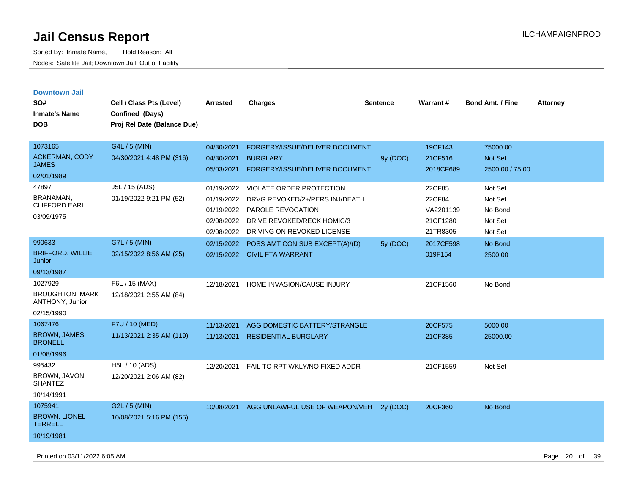| <b>Downtown Jail</b>                      |                             |            |                                 |          |           |                         |                 |
|-------------------------------------------|-----------------------------|------------|---------------------------------|----------|-----------|-------------------------|-----------------|
| SO#                                       | Cell / Class Pts (Level)    | Arrested   | <b>Charges</b>                  | Sentence | Warrant#  | <b>Bond Amt. / Fine</b> | <b>Attorney</b> |
| <b>Inmate's Name</b>                      | Confined (Days)             |            |                                 |          |           |                         |                 |
| <b>DOB</b>                                | Proj Rel Date (Balance Due) |            |                                 |          |           |                         |                 |
|                                           |                             |            |                                 |          |           |                         |                 |
| 1073165                                   | G4L / 5 (MIN)               | 04/30/2021 | FORGERY/ISSUE/DELIVER DOCUMENT  |          | 19CF143   | 75000.00                |                 |
| <b>ACKERMAN, CODY</b>                     | 04/30/2021 4:48 PM (316)    | 04/30/2021 | <b>BURGLARY</b>                 | 9y (DOC) | 21CF516   | Not Set                 |                 |
| <b>JAMES</b>                              |                             | 05/03/2021 | FORGERY/ISSUE/DELIVER DOCUMENT  |          | 2018CF689 | 2500.00 / 75.00         |                 |
| 02/01/1989                                |                             |            |                                 |          |           |                         |                 |
| 47897                                     | J5L / 15 (ADS)              | 01/19/2022 | <b>VIOLATE ORDER PROTECTION</b> |          | 22CF85    | Not Set                 |                 |
| BRANAMAN,<br><b>CLIFFORD EARL</b>         | 01/19/2022 9:21 PM (52)     | 01/19/2022 | DRVG REVOKED/2+/PERS INJ/DEATH  |          | 22CF84    | Not Set                 |                 |
|                                           |                             | 01/19/2022 | PAROLE REVOCATION               |          | VA2201139 | No Bond                 |                 |
| 03/09/1975                                |                             | 02/08/2022 | DRIVE REVOKED/RECK HOMIC/3      |          | 21CF1280  | Not Set                 |                 |
|                                           |                             | 02/08/2022 | DRIVING ON REVOKED LICENSE      |          | 21TR8305  | Not Set                 |                 |
| 990633                                    | G7L / 5 (MIN)               | 02/15/2022 | POSS AMT CON SUB EXCEPT(A)/(D)  | 5y (DOC) | 2017CF598 | No Bond                 |                 |
| <b>BRIFFORD, WILLIE</b><br>Junior         | 02/15/2022 8:56 AM (25)     |            | 02/15/2022 CIVIL FTA WARRANT    |          | 019F154   | 2500.00                 |                 |
| 09/13/1987                                |                             |            |                                 |          |           |                         |                 |
| 1027929                                   | F6L / 15 (MAX)              | 12/18/2021 | HOME INVASION/CAUSE INJURY      |          | 21CF1560  | No Bond                 |                 |
| <b>BROUGHTON, MARK</b><br>ANTHONY, Junior | 12/18/2021 2:55 AM (84)     |            |                                 |          |           |                         |                 |
| 02/15/1990                                |                             |            |                                 |          |           |                         |                 |
| 1067476                                   | F7U / 10 (MED)              | 11/13/2021 | AGG DOMESTIC BATTERY/STRANGLE   |          | 20CF575   | 5000.00                 |                 |
| <b>BROWN, JAMES</b><br><b>BRONELL</b>     | 11/13/2021 2:35 AM (119)    | 11/13/2021 | <b>RESIDENTIAL BURGLARY</b>     |          | 21CF385   | 25000.00                |                 |
| 01/08/1996                                |                             |            |                                 |          |           |                         |                 |
| 995432                                    | H5L / 10 (ADS)              | 12/20/2021 | FAIL TO RPT WKLY/NO FIXED ADDR  |          | 21CF1559  | Not Set                 |                 |
| BROWN, JAVON<br><b>SHANTEZ</b>            | 12/20/2021 2:06 AM (82)     |            |                                 |          |           |                         |                 |
| 10/14/1991                                |                             |            |                                 |          |           |                         |                 |
| 1075941                                   | G2L / 5 (MIN)               | 10/08/2021 | AGG UNLAWFUL USE OF WEAPON/VEH  | 2y (DOC) | 20CF360   | No Bond                 |                 |
| <b>BROWN, LIONEL</b><br><b>TERRELL</b>    | 10/08/2021 5:16 PM (155)    |            |                                 |          |           |                         |                 |
| 10/19/1981                                |                             |            |                                 |          |           |                         |                 |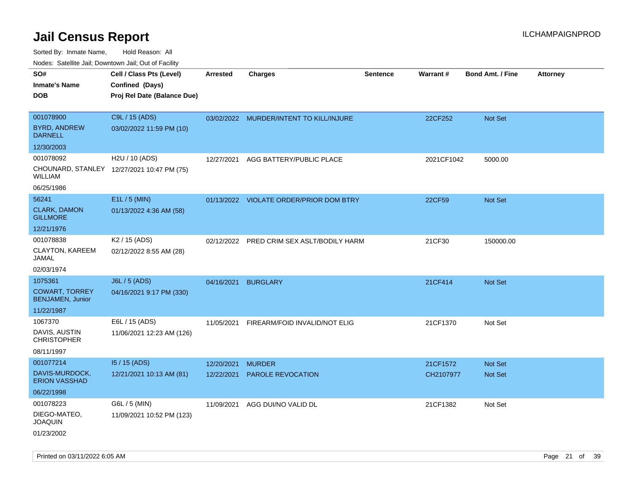| rouco. Calcillo Jali, Downtown Jali, Out of Facility |                                             |                 |                                         |                 |            |                         |                 |
|------------------------------------------------------|---------------------------------------------|-----------------|-----------------------------------------|-----------------|------------|-------------------------|-----------------|
| SO#<br><b>Inmate's Name</b>                          | Cell / Class Pts (Level)<br>Confined (Days) | <b>Arrested</b> | <b>Charges</b>                          | <b>Sentence</b> | Warrant#   | <b>Bond Amt. / Fine</b> | <b>Attorney</b> |
| DOB                                                  | Proj Rel Date (Balance Due)                 |                 |                                         |                 |            |                         |                 |
|                                                      |                                             |                 |                                         |                 |            |                         |                 |
| 001078900                                            | C9L / 15 (ADS)                              |                 | 03/02/2022 MURDER/INTENT TO KILL/INJURE |                 | 22CF252    | <b>Not Set</b>          |                 |
| <b>BYRD, ANDREW</b><br><b>DARNELL</b>                | 03/02/2022 11:59 PM (10)                    |                 |                                         |                 |            |                         |                 |
| 12/30/2003                                           |                                             |                 |                                         |                 |            |                         |                 |
| 001078092                                            | H2U / 10 (ADS)                              | 12/27/2021      | AGG BATTERY/PUBLIC PLACE                |                 | 2021CF1042 | 5000.00                 |                 |
| WILLIAM                                              | CHOUNARD, STANLEY 12/27/2021 10:47 PM (75)  |                 |                                         |                 |            |                         |                 |
| 06/25/1986                                           |                                             |                 |                                         |                 |            |                         |                 |
| 56241                                                | E1L / 5 (MIN)                               |                 | 01/13/2022 VIOLATE ORDER/PRIOR DOM BTRY |                 | 22CF59     | <b>Not Set</b>          |                 |
| <b>CLARK, DAMON</b><br><b>GILLMORE</b>               | 01/13/2022 4:36 AM (58)                     |                 |                                         |                 |            |                         |                 |
| 12/21/1976                                           |                                             |                 |                                         |                 |            |                         |                 |
| 001078838                                            | K <sub>2</sub> / 15 (ADS)                   | 02/12/2022      | PRED CRIM SEX ASLT/BODILY HARM          |                 | 21CF30     | 150000.00               |                 |
| CLAYTON, KAREEM<br>JAMAL                             | 02/12/2022 8:55 AM (28)                     |                 |                                         |                 |            |                         |                 |
| 02/03/1974                                           |                                             |                 |                                         |                 |            |                         |                 |
| 1075361                                              | J6L / 5 (ADS)                               | 04/16/2021      | <b>BURGLARY</b>                         |                 | 21CF414    | <b>Not Set</b>          |                 |
| <b>COWART, TORREY</b><br><b>BENJAMEN, Junior</b>     | 04/16/2021 9:17 PM (330)                    |                 |                                         |                 |            |                         |                 |
| 11/22/1987                                           |                                             |                 |                                         |                 |            |                         |                 |
| 1067370                                              | E6L / 15 (ADS)                              | 11/05/2021      | FIREARM/FOID INVALID/NOT ELIG           |                 | 21CF1370   | Not Set                 |                 |
| DAVIS, AUSTIN<br>CHRISTOPHER                         | 11/06/2021 12:23 AM (126)                   |                 |                                         |                 |            |                         |                 |
| 08/11/1997                                           |                                             |                 |                                         |                 |            |                         |                 |
| 001077214                                            | I5 / 15 (ADS)                               | 12/20/2021      | <b>MURDER</b>                           |                 | 21CF1572   | <b>Not Set</b>          |                 |
| DAVIS-MURDOCK,<br><b>ERION VASSHAD</b>               | 12/21/2021 10:13 AM (81)                    | 12/22/2021      | <b>PAROLE REVOCATION</b>                |                 | CH2107977  | <b>Not Set</b>          |                 |
| 06/22/1998                                           |                                             |                 |                                         |                 |            |                         |                 |
| 001078223                                            | G6L / 5 (MIN)                               | 11/09/2021      | AGG DUI/NO VALID DL                     |                 | 21CF1382   | Not Set                 |                 |
| DIEGO-MATEO,<br>JOAQUIN                              | 11/09/2021 10:52 PM (123)                   |                 |                                         |                 |            |                         |                 |
| 01/23/2002                                           |                                             |                 |                                         |                 |            |                         |                 |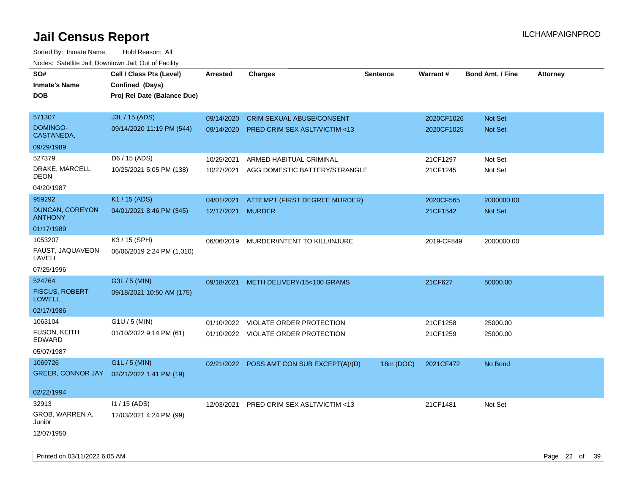Sorted By: Inmate Name, Hold Reason: All Nodes: Satellite Jail; Downtown Jail; Out of Facility

| roaco. Odichile Jan, Downtown Jan, Out of Facility |                             |                   |                                           |                 |            |                         |                 |
|----------------------------------------------------|-----------------------------|-------------------|-------------------------------------------|-----------------|------------|-------------------------|-----------------|
| SO#                                                | Cell / Class Pts (Level)    | <b>Arrested</b>   | <b>Charges</b>                            | <b>Sentence</b> | Warrant#   | <b>Bond Amt. / Fine</b> | <b>Attorney</b> |
| <b>Inmate's Name</b>                               | Confined (Days)             |                   |                                           |                 |            |                         |                 |
| <b>DOB</b>                                         | Proj Rel Date (Balance Due) |                   |                                           |                 |            |                         |                 |
|                                                    |                             |                   |                                           |                 |            |                         |                 |
| 571307                                             | J3L / 15 (ADS)              | 09/14/2020        | <b>CRIM SEXUAL ABUSE/CONSENT</b>          |                 | 2020CF1026 | Not Set                 |                 |
| <b>DOMINGO-</b><br>CASTANEDA,                      | 09/14/2020 11:19 PM (544)   |                   | 09/14/2020 PRED CRIM SEX ASLT/VICTIM <13  |                 | 2020CF1025 | Not Set                 |                 |
| 09/29/1989                                         |                             |                   |                                           |                 |            |                         |                 |
| 527379                                             | D6 / 15 (ADS)               | 10/25/2021        | ARMED HABITUAL CRIMINAL                   |                 | 21CF1297   | Not Set                 |                 |
| DRAKE, MARCELL<br><b>DEON</b>                      | 10/25/2021 5:05 PM (138)    |                   | 10/27/2021 AGG DOMESTIC BATTERY/STRANGLE  |                 | 21CF1245   | Not Set                 |                 |
| 04/20/1987                                         |                             |                   |                                           |                 |            |                         |                 |
| 959292                                             | K1 / 15 (ADS)               | 04/01/2021        | ATTEMPT (FIRST DEGREE MURDER)             |                 | 2020CF565  | 2000000.00              |                 |
| DUNCAN, COREYON<br><b>ANTHONY</b>                  | 04/01/2021 8:46 PM (345)    | 12/17/2021 MURDER |                                           |                 | 21CF1542   | <b>Not Set</b>          |                 |
| 01/17/1989                                         |                             |                   |                                           |                 |            |                         |                 |
| 1053207                                            | K3 / 15 (SPH)               |                   | 06/06/2019 MURDER/INTENT TO KILL/INJURE   |                 | 2019-CF849 | 2000000.00              |                 |
| FAUST, JAQUAVEON<br>LAVELL                         | 06/06/2019 2:24 PM (1,010)  |                   |                                           |                 |            |                         |                 |
| 07/25/1996                                         |                             |                   |                                           |                 |            |                         |                 |
| 524764                                             | G3L / 5 (MIN)               | 09/18/2021        | METH DELIVERY/15<100 GRAMS                |                 | 21CF627    | 50000.00                |                 |
| <b>FISCUS, ROBERT</b><br><b>LOWELL</b>             | 09/18/2021 10:50 AM (175)   |                   |                                           |                 |            |                         |                 |
| 02/17/1986                                         |                             |                   |                                           |                 |            |                         |                 |
| 1063104                                            | G1U / 5 (MIN)               |                   | 01/10/2022 VIOLATE ORDER PROTECTION       |                 | 21CF1258   | 25000.00                |                 |
| <b>FUSON, KEITH</b><br>EDWARD                      | 01/10/2022 9:14 PM (61)     |                   | 01/10/2022 VIOLATE ORDER PROTECTION       |                 | 21CF1259   | 25000.00                |                 |
| 05/07/1987                                         |                             |                   |                                           |                 |            |                         |                 |
| 1069726                                            | G1L / 5 (MIN)               |                   | 02/21/2022 POSS AMT CON SUB EXCEPT(A)/(D) | 18m (DOC)       | 2021CF472  | No Bond                 |                 |
| <b>GREER, CONNOR JAY</b>                           | 02/21/2022 1:41 PM (19)     |                   |                                           |                 |            |                         |                 |
|                                                    |                             |                   |                                           |                 |            |                         |                 |
| 02/22/1994                                         |                             |                   |                                           |                 |            |                         |                 |
| 32913                                              | 11 / 15 (ADS)               |                   | 12/03/2021 PRED CRIM SEX ASLT/VICTIM <13  |                 | 21CF1481   | Not Set                 |                 |
| GROB, WARREN A,<br>Junior                          | 12/03/2021 4:24 PM (99)     |                   |                                           |                 |            |                         |                 |
| 12/07/1950                                         |                             |                   |                                           |                 |            |                         |                 |

Printed on 03/11/2022 6:05 AM Page 22 of 39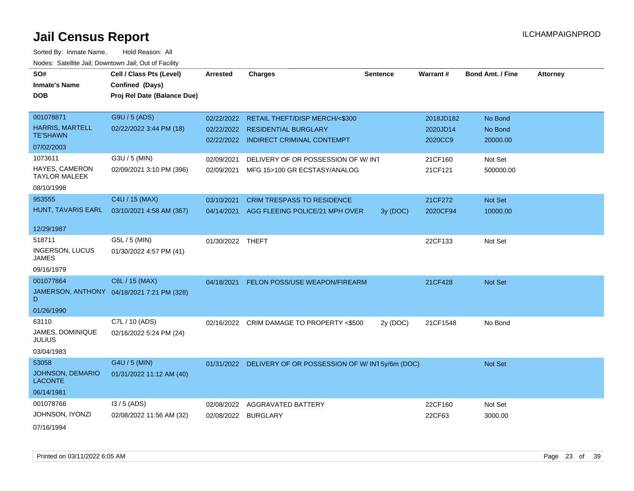| SO#                                       | Cell / Class Pts (Level)                   | Arrested         | <b>Charges</b>                                           | <b>Sentence</b> | Warrant#  | <b>Bond Amt. / Fine</b> | <b>Attorney</b> |
|-------------------------------------------|--------------------------------------------|------------------|----------------------------------------------------------|-----------------|-----------|-------------------------|-----------------|
| <b>Inmate's Name</b>                      | Confined (Days)                            |                  |                                                          |                 |           |                         |                 |
| <b>DOB</b>                                | Proj Rel Date (Balance Due)                |                  |                                                          |                 |           |                         |                 |
|                                           |                                            |                  |                                                          |                 |           |                         |                 |
| 001078871                                 | G9U / 5 (ADS)                              | 02/22/2022       | RETAIL THEFT/DISP MERCH/<\$300                           |                 | 2018JD182 | No Bond                 |                 |
| <b>HARRIS, MARTELL</b><br><b>TE'SHAWN</b> | 02/22/2022 3:44 PM (18)                    |                  | 02/22/2022 RESIDENTIAL BURGLARY                          |                 | 2020JD14  | No Bond                 |                 |
| 07/02/2003                                |                                            |                  | 02/22/2022 INDIRECT CRIMINAL CONTEMPT                    |                 | 2020CC9   | 20000.00                |                 |
| 1073611                                   | G3U / 5 (MIN)                              |                  |                                                          |                 |           |                         |                 |
| HAYES, CAMERON                            | 02/09/2021 3:10 PM (396)                   | 02/09/2021       | DELIVERY OF OR POSSESSION OF W/INT                       |                 | 21CF160   | Not Set                 |                 |
| <b>TAYLOR MALEEK</b>                      |                                            | 02/09/2021       | MFG 15>100 GR ECSTASY/ANALOG                             |                 | 21CF121   | 500000.00               |                 |
| 08/10/1998                                |                                            |                  |                                                          |                 |           |                         |                 |
| 953555                                    | C4U / 15 (MAX)                             | 03/10/2021       | <b>CRIM TRESPASS TO RESIDENCE</b>                        |                 | 21CF272   | Not Set                 |                 |
| HUNT, TAVARIS EARL                        | 03/10/2021 4:58 AM (367)                   |                  | 04/14/2021 AGG FLEEING POLICE/21 MPH OVER                | 3y(DOC)         | 2020CF94  | 10000.00                |                 |
|                                           |                                            |                  |                                                          |                 |           |                         |                 |
| 12/29/1987                                |                                            |                  |                                                          |                 |           |                         |                 |
| 518711                                    | G5L / 5 (MIN)                              | 01/30/2022 THEFT |                                                          |                 | 22CF133   | Not Set                 |                 |
| <b>INGERSON, LUCUS</b><br><b>JAMES</b>    | 01/30/2022 4:57 PM (41)                    |                  |                                                          |                 |           |                         |                 |
| 09/16/1979                                |                                            |                  |                                                          |                 |           |                         |                 |
| 001077864                                 | C6L / 15 (MAX)                             | 04/18/2021       | FELON POSS/USE WEAPON/FIREARM                            |                 | 21CF428   | Not Set                 |                 |
| D                                         | JAMERSON, ANTHONY 04/18/2021 7:21 PM (328) |                  |                                                          |                 |           |                         |                 |
| 01/26/1990                                |                                            |                  |                                                          |                 |           |                         |                 |
| 63110                                     | C7L / 10 (ADS)                             | 02/16/2022       | CRIM DAMAGE TO PROPERTY <\$500                           | 2y (DOC)        | 21CF1548  | No Bond                 |                 |
| JAMES, DOMINIQUE<br><b>JULIUS</b>         | 02/16/2022 5:24 PM (24)                    |                  |                                                          |                 |           |                         |                 |
| 03/04/1983                                |                                            |                  |                                                          |                 |           |                         |                 |
| 53058                                     | G4U / 5 (MIN)                              |                  | 01/31/2022 DELIVERY OF OR POSSESSION OF W/IN15y/6m (DOC) |                 |           | Not Set                 |                 |
| JOHNSON, DEMARIO<br><b>LACONTE</b>        | 01/31/2022 11:12 AM (40)                   |                  |                                                          |                 |           |                         |                 |
| 06/14/1981                                |                                            |                  |                                                          |                 |           |                         |                 |
| 001078766                                 | $13/5$ (ADS)                               | 02/08/2022       | <b>AGGRAVATED BATTERY</b>                                |                 | 22CF160   | Not Set                 |                 |
| JOHNSON, IYONZI                           | 02/08/2022 11:56 AM (32)                   | 02/08/2022       | <b>BURGLARY</b>                                          |                 | 22CF63    | 3000.00                 |                 |
| 07/16/1994                                |                                            |                  |                                                          |                 |           |                         |                 |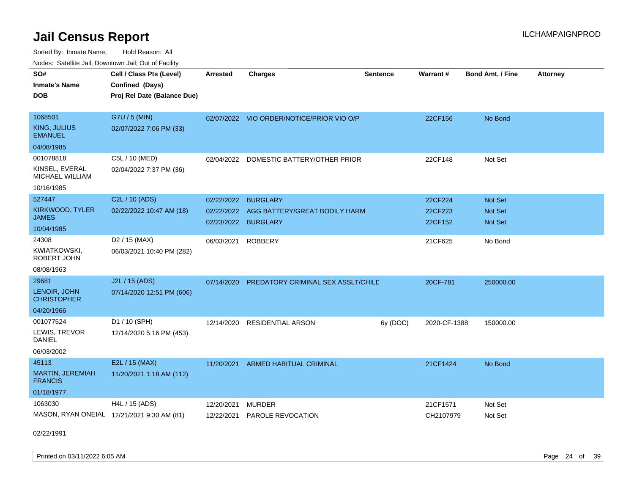Sorted By: Inmate Name, Hold Reason: All Nodes: Satellite Jail; Downtown Jail; Out of Facility

| SO#<br><b>Inmate's Name</b><br><b>DOB</b>                           | Cell / Class Pts (Level)<br>Confined (Days)<br>Proj Rel Date (Balance Due) | <b>Arrested</b>          | <b>Charges</b>                                                          | <b>Sentence</b> | Warrant#                      | <b>Bond Amt. / Fine</b>              | <b>Attorney</b> |
|---------------------------------------------------------------------|----------------------------------------------------------------------------|--------------------------|-------------------------------------------------------------------------|-----------------|-------------------------------|--------------------------------------|-----------------|
| 1068501<br>KING, JULIUS<br><b>EMANUEL</b><br>04/08/1985             | G7U / 5 (MIN)<br>02/07/2022 7:06 PM (33)                                   |                          | 02/07/2022 VIO ORDER/NOTICE/PRIOR VIO O/P                               |                 | 22CF156                       | No Bond                              |                 |
| 001078818<br>KINSEL, EVERAL<br><b>MICHAEL WILLIAM</b><br>10/16/1985 | C5L / 10 (MED)<br>02/04/2022 7:37 PM (36)                                  | 02/04/2022               | DOMESTIC BATTERY/OTHER PRIOR                                            |                 | 22CF148                       | Not Set                              |                 |
| 527447<br>KIRKWOOD, TYLER<br>JAMES<br>10/04/1985                    | C2L / 10 (ADS)<br>02/22/2022 10:47 AM (18)                                 | 02/22/2022<br>02/22/2022 | <b>BURGLARY</b><br>AGG BATTERY/GREAT BODILY HARM<br>02/23/2022 BURGLARY |                 | 22CF224<br>22CF223<br>22CF152 | <b>Not Set</b><br>Not Set<br>Not Set |                 |
| 24308<br><b>KWIATKOWSKI,</b><br>ROBERT JOHN<br>08/08/1963           | D <sub>2</sub> / 15 (MAX)<br>06/03/2021 10:40 PM (282)                     | 06/03/2021               | <b>ROBBERY</b>                                                          |                 | 21CF625                       | No Bond                              |                 |
| 29681<br>LENOIR, JOHN<br><b>CHRISTOPHER</b><br>04/20/1966           | J2L / 15 (ADS)<br>07/14/2020 12:51 PM (606)                                |                          | 07/14/2020 PREDATORY CRIMINAL SEX ASSLT/CHILD                           |                 | 20CF-781                      | 250000.00                            |                 |
| 001077524<br>LEWIS, TREVOR<br><b>DANIEL</b><br>06/03/2002           | D1 / 10 (SPH)<br>12/14/2020 5:16 PM (453)                                  | 12/14/2020               | <b>RESIDENTIAL ARSON</b>                                                | 6y (DOC)        | 2020-CF-1388                  | 150000.00                            |                 |
| 45113<br>MARTIN, JEREMIAH<br><b>FRANCIS</b><br>01/18/1977           | E2L / 15 (MAX)<br>11/20/2021 1:18 AM (112)                                 | 11/20/2021               | ARMED HABITUAL CRIMINAL                                                 |                 | 21CF1424                      | No Bond                              |                 |
| 1063030                                                             | H4L / 15 (ADS)<br>MASON, RYAN ONEIAL 12/21/2021 9:30 AM (81)               | 12/20/2021<br>12/22/2021 | <b>MURDER</b><br>PAROLE REVOCATION                                      |                 | 21CF1571<br>CH2107979         | Not Set<br>Not Set                   |                 |

02/22/1991

Printed on 03/11/2022 6:05 AM Page 24 of 39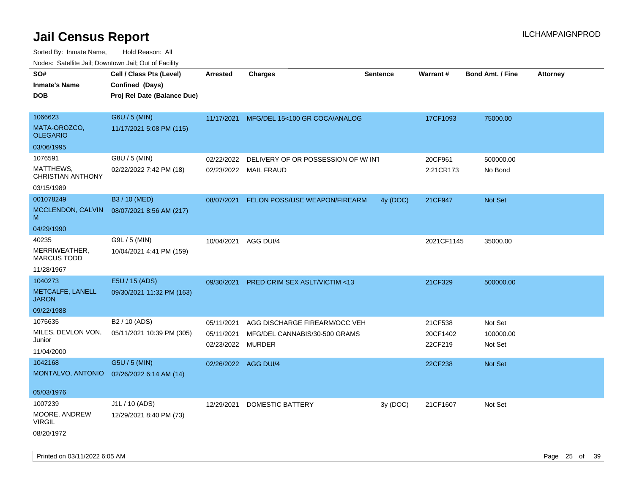| SO#<br><b>Inmate's Name</b><br><b>DOB</b>                                    | Cell / Class Pts (Level)<br>Confined (Days)<br>Proj Rel Date (Balance Due) | <b>Arrested</b>                        | <b>Charges</b>                                                                  | <b>Sentence</b> | Warrant#                       | <b>Bond Amt. / Fine</b>         | <b>Attorney</b> |
|------------------------------------------------------------------------------|----------------------------------------------------------------------------|----------------------------------------|---------------------------------------------------------------------------------|-----------------|--------------------------------|---------------------------------|-----------------|
| 1066623<br>MATA-OROZCO,<br><b>OLEGARIO</b>                                   | G6U / 5 (MIN)<br>11/17/2021 5:08 PM (115)                                  | 11/17/2021                             | MFG/DEL 15<100 GR COCA/ANALOG                                                   |                 | 17CF1093                       | 75000.00                        |                 |
| 03/06/1995<br>1076591<br>MATTHEWS,<br><b>CHRISTIAN ANTHONY</b><br>03/15/1989 | G8U / 5 (MIN)<br>02/22/2022 7:42 PM (18)                                   | 02/22/2022                             | DELIVERY OF OR POSSESSION OF W/ INT<br>02/23/2022 MAIL FRAUD                    |                 | 20CF961<br>2:21CR173           | 500000.00<br>No Bond            |                 |
| 001078249<br>MCCLENDON, CALVIN<br>м                                          | B3 / 10 (MED)<br>08/07/2021 8:56 AM (217)                                  | 08/07/2021                             | FELON POSS/USE WEAPON/FIREARM                                                   | 4y (DOC)        | 21CF947                        | Not Set                         |                 |
| 04/29/1990<br>40235<br>MERRIWEATHER,<br><b>MARCUS TODD</b><br>11/28/1967     | G9L / 5 (MIN)<br>10/04/2021 4:41 PM (159)                                  | 10/04/2021 AGG DUI/4                   |                                                                                 |                 | 2021CF1145                     | 35000.00                        |                 |
| 1040273<br>METCALFE, LANELL<br><b>JARON</b><br>09/22/1988                    | E5U / 15 (ADS)<br>09/30/2021 11:32 PM (163)                                | 09/30/2021                             | <b>PRED CRIM SEX ASLT/VICTIM &lt;13</b>                                         |                 | 21CF329                        | 500000.00                       |                 |
| 1075635<br>MILES, DEVLON VON,<br>Junior<br>11/04/2000                        | B <sub>2</sub> / 10 (ADS)<br>05/11/2021 10:39 PM (305)                     | 05/11/2021<br>05/11/2021<br>02/23/2022 | AGG DISCHARGE FIREARM/OCC VEH<br>MFG/DEL CANNABIS/30-500 GRAMS<br><b>MURDER</b> |                 | 21CF538<br>20CF1402<br>22CF219 | Not Set<br>100000.00<br>Not Set |                 |
| 1042168<br>MONTALVO, ANTONIO<br>05/03/1976                                   | G5U / 5 (MIN)<br>02/26/2022 6:14 AM (14)                                   | 02/26/2022 AGG DUI/4                   |                                                                                 |                 | 22CF238                        | <b>Not Set</b>                  |                 |
| 1007239<br>MOORE, ANDREW<br>VIRGIL<br>08/20/1972                             | J1L / 10 (ADS)<br>12/29/2021 8:40 PM (73)                                  | 12/29/2021                             | <b>DOMESTIC BATTERY</b>                                                         | 3y(DOC)         | 21CF1607                       | Not Set                         |                 |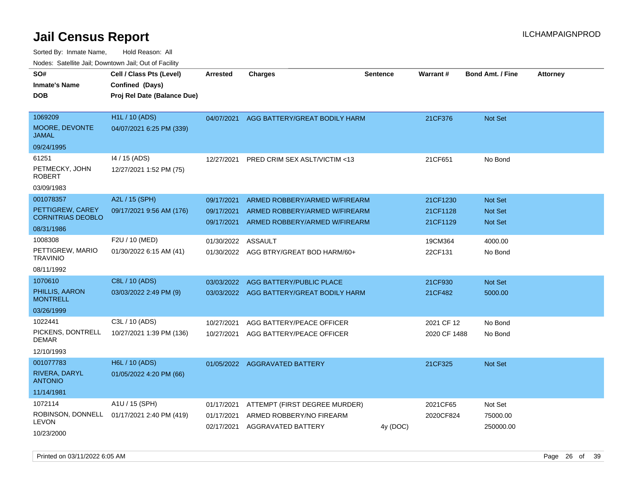Sorted By: Inmate Name, Hold Reason: All Nodes: Satellite Jail; Downtown Jail; Out of Facility

| soupois catomic can, Dominomii can, Cat or Faomt                        |                                                                            |                                        |                                                                                                 |                 |                                  |                                                    |                 |
|-------------------------------------------------------------------------|----------------------------------------------------------------------------|----------------------------------------|-------------------------------------------------------------------------------------------------|-----------------|----------------------------------|----------------------------------------------------|-----------------|
| SO#<br><b>Inmate's Name</b><br>DOB                                      | Cell / Class Pts (Level)<br>Confined (Days)<br>Proj Rel Date (Balance Due) | <b>Arrested</b>                        | <b>Charges</b>                                                                                  | <b>Sentence</b> | <b>Warrant#</b>                  | <b>Bond Amt. / Fine</b>                            | <b>Attorney</b> |
| 1069209<br>MOORE, DEVONTE<br>JAMAL                                      | <b>H1L / 10 (ADS)</b><br>04/07/2021 6:25 PM (339)                          |                                        | 04/07/2021 AGG BATTERY/GREAT BODILY HARM                                                        |                 | 21CF376                          | <b>Not Set</b>                                     |                 |
| 09/24/1995                                                              |                                                                            |                                        |                                                                                                 |                 |                                  |                                                    |                 |
| 61251<br>PETMECKY, JOHN<br>ROBERT                                       | 14 / 15 (ADS)<br>12/27/2021 1:52 PM (75)                                   | 12/27/2021                             | PRED CRIM SEX ASLT/VICTIM <13                                                                   |                 | 21CF651                          | No Bond                                            |                 |
| 03/09/1983                                                              |                                                                            |                                        |                                                                                                 |                 |                                  |                                                    |                 |
| 001078357<br>PETTIGREW, CAREY<br><b>CORNITRIAS DEOBLO</b><br>08/31/1986 | A2L / 15 (SPH)<br>09/17/2021 9:56 AM (176)                                 | 09/17/2021<br>09/17/2021<br>09/17/2021 | ARMED ROBBERY/ARMED W/FIREARM<br>ARMED ROBBERY/ARMED W/FIREARM<br>ARMED ROBBERY/ARMED W/FIREARM |                 | 21CF1230<br>21CF1128<br>21CF1129 | <b>Not Set</b><br><b>Not Set</b><br><b>Not Set</b> |                 |
| 1008308<br>PETTIGREW, MARIO<br>TRAVINIO<br>08/11/1992                   | F2U / 10 (MED)<br>01/30/2022 6:15 AM (41)                                  | 01/30/2022<br>01/30/2022               | ASSAULT<br>AGG BTRY/GREAT BOD HARM/60+                                                          |                 | 19CM364<br>22CF131               | 4000.00<br>No Bond                                 |                 |
| 1070610<br>PHILLIS, AARON<br><b>MONTRELL</b><br>03/26/1999              | C8L / 10 (ADS)<br>03/03/2022 2:49 PM (9)                                   | 03/03/2022<br>03/03/2022               | AGG BATTERY/PUBLIC PLACE<br>AGG BATTERY/GREAT BODILY HARM                                       |                 | 21CF930<br>21CF482               | <b>Not Set</b><br>5000.00                          |                 |
| 1022441<br>PICKENS, DONTRELL<br>DEMAR<br>12/10/1993                     | C3L / 10 (ADS)<br>10/27/2021 1:39 PM (136)                                 | 10/27/2021<br>10/27/2021               | AGG BATTERY/PEACE OFFICER<br>AGG BATTERY/PEACE OFFICER                                          |                 | 2021 CF 12<br>2020 CF 1488       | No Bond<br>No Bond                                 |                 |
| 001077783<br>RIVERA, DARYL<br><b>ANTONIO</b><br>11/14/1981              | H6L / 10 (ADS)<br>01/05/2022 4:20 PM (66)                                  | 01/05/2022                             | <b>AGGRAVATED BATTERY</b>                                                                       |                 | 21CF325                          | <b>Not Set</b>                                     |                 |
| 1072114<br>LEVON<br>10/23/2000                                          | A1U / 15 (SPH)<br>ROBINSON, DONNELL 01/17/2021 2:40 PM (419)               | 01/17/2021<br>01/17/2021<br>02/17/2021 | ATTEMPT (FIRST DEGREE MURDER)<br>ARMED ROBBERY/NO FIREARM<br>AGGRAVATED BATTERY                 | 4y (DOC)        | 2021CF65<br>2020CF824            | Not Set<br>75000.00<br>250000.00                   |                 |

Printed on 03/11/2022 6:05 AM Page 26 of 39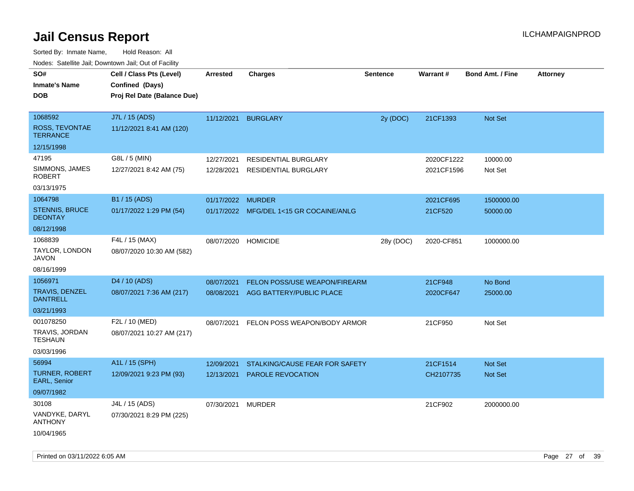|                                                                      | ivouss. Satellite Jali, Downtown Jali, Out of Facility                     |                          |                                                           |                 |                          |                                  |                 |
|----------------------------------------------------------------------|----------------------------------------------------------------------------|--------------------------|-----------------------------------------------------------|-----------------|--------------------------|----------------------------------|-----------------|
| SO#<br>Inmate's Name<br><b>DOB</b>                                   | Cell / Class Pts (Level)<br>Confined (Days)<br>Proj Rel Date (Balance Due) | Arrested                 | <b>Charges</b>                                            | <b>Sentence</b> | <b>Warrant#</b>          | <b>Bond Amt. / Fine</b>          | <b>Attorney</b> |
| 1068592<br>ROSS, TEVONTAE<br><b>TERRANCE</b>                         | J7L / 15 (ADS)<br>11/12/2021 8:41 AM (120)                                 | 11/12/2021               | <b>BURGLARY</b>                                           | 2y (DOC)        | 21CF1393                 | Not Set                          |                 |
| 12/15/1998<br>47195<br>SIMMONS, JAMES<br><b>ROBERT</b><br>03/13/1975 | G8L / 5 (MIN)<br>12/27/2021 8:42 AM (75)                                   | 12/27/2021<br>12/28/2021 | RESIDENTIAL BURGLARY<br><b>RESIDENTIAL BURGLARY</b>       |                 | 2020CF1222<br>2021CF1596 | 10000.00<br>Not Set              |                 |
| 1064798<br><b>STENNIS, BRUCE</b><br><b>DEONTAY</b><br>08/12/1998     | B1 / 15 (ADS)<br>01/17/2022 1:29 PM (54)                                   | 01/17/2022 MURDER        | 01/17/2022 MFG/DEL 1<15 GR COCAINE/ANLG                   |                 | 2021CF695<br>21CF520     | 1500000.00<br>50000.00           |                 |
| 1068839<br>TAYLOR, LONDON<br>JAVON<br>08/16/1999                     | F4L / 15 (MAX)<br>08/07/2020 10:30 AM (582)                                | 08/07/2020               | <b>HOMICIDE</b>                                           | 28y (DOC)       | 2020-CF851               | 1000000.00                       |                 |
| 1056971<br>TRAVIS, DENZEL<br>DANTRELL<br>03/21/1993                  | D <sub>4</sub> / 10 (ADS)<br>08/07/2021 7:36 AM (217)                      | 08/07/2021<br>08/08/2021 | FELON POSS/USE WEAPON/FIREARM<br>AGG BATTERY/PUBLIC PLACE |                 | 21CF948<br>2020CF647     | No Bond<br>25000.00              |                 |
| 001078250<br>TRAVIS, JORDAN<br>TESHAUN<br>03/03/1996                 | F2L / 10 (MED)<br>08/07/2021 10:27 AM (217)                                | 08/07/2021               | FELON POSS WEAPON/BODY ARMOR                              |                 | 21CF950                  | Not Set                          |                 |
| 56994<br>TURNER, ROBERT<br><b>EARL, Senior</b><br>09/07/1982         | A1L / 15 (SPH)<br>12/09/2021 9:23 PM (93)                                  | 12/09/2021<br>12/13/2021 | STALKING/CAUSE FEAR FOR SAFETY<br>PAROLE REVOCATION       |                 | 21CF1514<br>CH2107735    | <b>Not Set</b><br><b>Not Set</b> |                 |
| 30108<br>VANDYKE, DARYL<br><b>ANTHONY</b><br>10/04/1965              | J4L / 15 (ADS)<br>07/30/2021 8:29 PM (225)                                 | 07/30/2021               | <b>MURDER</b>                                             |                 | 21CF902                  | 2000000.00                       |                 |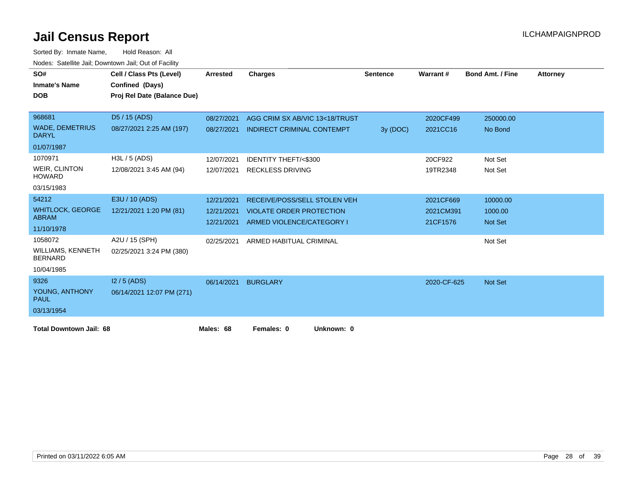| SO#<br><b>Inmate's Name</b><br><b>DOB</b>  | Cell / Class Pts (Level)<br>Confined (Days)<br>Proj Rel Date (Balance Due) | Arrested   | <b>Charges</b>                      | <b>Sentence</b> | Warrant#    | <b>Bond Amt. / Fine</b> | <b>Attorney</b> |
|--------------------------------------------|----------------------------------------------------------------------------|------------|-------------------------------------|-----------------|-------------|-------------------------|-----------------|
|                                            |                                                                            |            |                                     |                 |             |                         |                 |
| 968681                                     | D5 / 15 (ADS)                                                              | 08/27/2021 | AGG CRIM SX AB/VIC 13<18/TRUST      |                 | 2020CF499   | 250000.00               |                 |
| <b>WADE, DEMETRIUS</b><br><b>DARYL</b>     | 08/27/2021 2:25 AM (197)                                                   | 08/27/2021 | <b>INDIRECT CRIMINAL CONTEMPT</b>   | 3y (DOC)        | 2021CC16    | No Bond                 |                 |
| 01/07/1987                                 |                                                                            |            |                                     |                 |             |                         |                 |
| 1070971                                    | $H3L / 5$ (ADS)                                                            | 12/07/2021 | <b>IDENTITY THEFT/&lt;\$300</b>     |                 | 20CF922     | Not Set                 |                 |
| <b>WEIR, CLINTON</b><br><b>HOWARD</b>      | 12/08/2021 3:45 AM (94)                                                    | 12/07/2021 | <b>RECKLESS DRIVING</b>             |                 | 19TR2348    | Not Set                 |                 |
| 03/15/1983                                 |                                                                            |            |                                     |                 |             |                         |                 |
| 54212                                      | E3U / 10 (ADS)                                                             | 12/21/2021 | <b>RECEIVE/POSS/SELL STOLEN VEH</b> |                 | 2021CF669   | 10000.00                |                 |
| <b>WHITLOCK, GEORGE</b>                    | 12/21/2021 1:20 PM (81)                                                    | 12/21/2021 | <b>VIOLATE ORDER PROTECTION</b>     |                 | 2021CM391   | 1000.00                 |                 |
| <b>ABRAM</b>                               |                                                                            | 12/21/2021 | ARMED VIOLENCE/CATEGORY I           |                 | 21CF1576    | <b>Not Set</b>          |                 |
| 11/10/1978                                 |                                                                            |            |                                     |                 |             |                         |                 |
| 1058072                                    | A2U / 15 (SPH)                                                             | 02/25/2021 | ARMED HABITUAL CRIMINAL             |                 |             | Not Set                 |                 |
| <b>WILLIAMS, KENNETH</b><br><b>BERNARD</b> | 02/25/2021 3:24 PM (380)                                                   |            |                                     |                 |             |                         |                 |
| 10/04/1985                                 |                                                                            |            |                                     |                 |             |                         |                 |
| 9326                                       | $12/5$ (ADS)                                                               | 06/14/2021 | <b>BURGLARY</b>                     |                 | 2020-CF-625 | <b>Not Set</b>          |                 |
| YOUNG, ANTHONY<br><b>PAUL</b>              | 06/14/2021 12:07 PM (271)                                                  |            |                                     |                 |             |                         |                 |
| 03/13/1954                                 |                                                                            |            |                                     |                 |             |                         |                 |
| <b>Total Downtown Jail: 68</b>             |                                                                            | Males: 68  | Females: 0<br>Unknown: 0            |                 |             |                         |                 |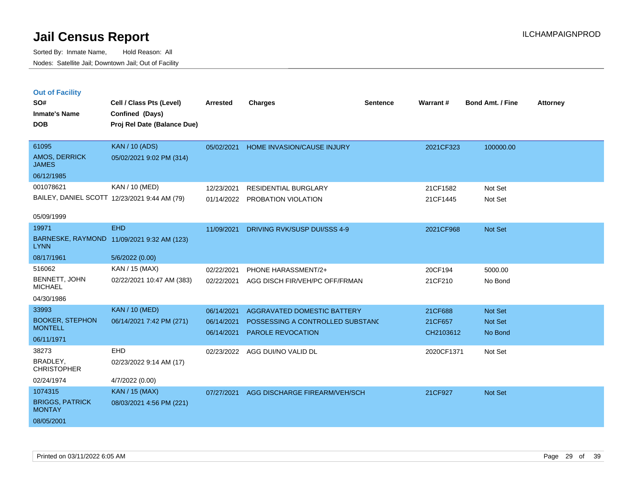| <b>Out of Facility</b> |  |
|------------------------|--|
|------------------------|--|

| SO#                                     | Cell / Class Pts (Level)                     | <b>Arrested</b> | <b>Charges</b>                   | <b>Sentence</b> | Warrant#   | <b>Bond Amt. / Fine</b> | <b>Attorney</b> |
|-----------------------------------------|----------------------------------------------|-----------------|----------------------------------|-----------------|------------|-------------------------|-----------------|
| <b>Inmate's Name</b>                    | Confined (Days)                              |                 |                                  |                 |            |                         |                 |
| <b>DOB</b>                              | Proj Rel Date (Balance Due)                  |                 |                                  |                 |            |                         |                 |
|                                         |                                              |                 |                                  |                 |            |                         |                 |
| 61095                                   | <b>KAN / 10 (ADS)</b>                        | 05/02/2021      | HOME INVASION/CAUSE INJURY       |                 | 2021CF323  | 100000.00               |                 |
| AMOS, DERRICK<br><b>JAMES</b>           | 05/02/2021 9:02 PM (314)                     |                 |                                  |                 |            |                         |                 |
| 06/12/1985                              |                                              |                 |                                  |                 |            |                         |                 |
| 001078621                               | KAN / 10 (MED)                               | 12/23/2021      | <b>RESIDENTIAL BURGLARY</b>      |                 | 21CF1582   | Not Set                 |                 |
|                                         | BAILEY, DANIEL SCOTT 12/23/2021 9:44 AM (79) |                 | 01/14/2022 PROBATION VIOLATION   |                 | 21CF1445   | Not Set                 |                 |
|                                         |                                              |                 |                                  |                 |            |                         |                 |
| 05/09/1999                              |                                              |                 |                                  |                 |            |                         |                 |
| 19971                                   | <b>EHD</b>                                   | 11/09/2021      | DRIVING RVK/SUSP DUI/SSS 4-9     |                 | 2021CF968  | Not Set                 |                 |
| <b>LYNN</b>                             | BARNESKE, RAYMOND 11/09/2021 9:32 AM (123)   |                 |                                  |                 |            |                         |                 |
| 08/17/1961                              | 5/6/2022 (0.00)                              |                 |                                  |                 |            |                         |                 |
| 516062                                  | KAN / 15 (MAX)                               | 02/22/2021      | PHONE HARASSMENT/2+              |                 | 20CF194    | 5000.00                 |                 |
| BENNETT, JOHN<br><b>MICHAEL</b>         | 02/22/2021 10:47 AM (383)                    | 02/22/2021      | AGG DISCH FIR/VEH/PC OFF/FRMAN   |                 | 21CF210    | No Bond                 |                 |
| 04/30/1986                              |                                              |                 |                                  |                 |            |                         |                 |
| 33993                                   | <b>KAN / 10 (MED)</b>                        | 06/14/2021      | AGGRAVATED DOMESTIC BATTERY      |                 | 21CF688    | Not Set                 |                 |
| <b>BOOKER, STEPHON</b>                  | 06/14/2021 7:42 PM (271)                     | 06/14/2021      | POSSESSING A CONTROLLED SUBSTANC |                 | 21CF657    | Not Set                 |                 |
| <b>MONTELL</b>                          |                                              | 06/14/2021      | PAROLE REVOCATION                |                 | CH2103612  | No Bond                 |                 |
| 06/11/1971                              |                                              |                 |                                  |                 |            |                         |                 |
| 38273                                   | <b>EHD</b>                                   | 02/23/2022      | AGG DUI/NO VALID DL              |                 | 2020CF1371 | Not Set                 |                 |
| BRADLEY,<br><b>CHRISTOPHER</b>          | 02/23/2022 9:14 AM (17)                      |                 |                                  |                 |            |                         |                 |
| 02/24/1974                              | 4/7/2022 (0.00)                              |                 |                                  |                 |            |                         |                 |
| 1074315                                 | KAN / 15 (MAX)                               | 07/27/2021      | AGG DISCHARGE FIREARM/VEH/SCH    |                 | 21CF927    | Not Set                 |                 |
| <b>BRIGGS, PATRICK</b><br><b>MONTAY</b> | 08/03/2021 4:56 PM (221)                     |                 |                                  |                 |            |                         |                 |
| 08/05/2001                              |                                              |                 |                                  |                 |            |                         |                 |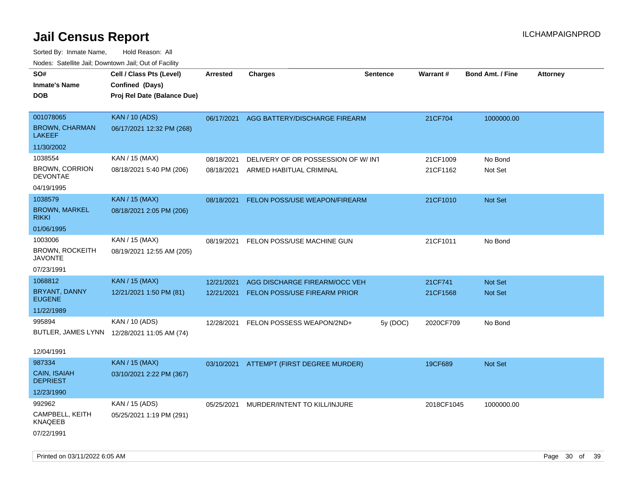| 10000. Catolino can, Domntonn can, Oat or I domt |                                                                            |            |                                          |                 |                 |                         |                 |
|--------------------------------------------------|----------------------------------------------------------------------------|------------|------------------------------------------|-----------------|-----------------|-------------------------|-----------------|
| SO#<br>Inmate's Name<br><b>DOB</b>               | Cell / Class Pts (Level)<br>Confined (Days)<br>Proj Rel Date (Balance Due) | Arrested   | <b>Charges</b>                           | <b>Sentence</b> | <b>Warrant#</b> | <b>Bond Amt. / Fine</b> | <b>Attorney</b> |
| 001078065<br><b>BROWN, CHARMAN</b><br>LAKEEF     | <b>KAN / 10 (ADS)</b><br>06/17/2021 12:32 PM (268)                         | 06/17/2021 | AGG BATTERY/DISCHARGE FIREARM            |                 | 21CF704         | 1000000.00              |                 |
| 11/30/2002                                       |                                                                            |            |                                          |                 |                 |                         |                 |
| 1038554                                          | KAN / 15 (MAX)                                                             | 08/18/2021 | DELIVERY OF OR POSSESSION OF W/INT       |                 | 21CF1009        | No Bond                 |                 |
| <b>BROWN, CORRION</b><br><b>DEVONTAE</b>         | 08/18/2021 5:40 PM (206)                                                   | 08/18/2021 | ARMED HABITUAL CRIMINAL                  |                 | 21CF1162        | Not Set                 |                 |
| 04/19/1995                                       |                                                                            |            |                                          |                 |                 |                         |                 |
| 1038579<br><b>BROWN, MARKEL</b><br>rikki         | <b>KAN / 15 (MAX)</b><br>08/18/2021 2:05 PM (206)                          | 08/18/2021 | FELON POSS/USE WEAPON/FIREARM            |                 | 21CF1010        | Not Set                 |                 |
| 01/06/1995                                       |                                                                            |            |                                          |                 |                 |                         |                 |
| 1003006<br>BROWN, ROCKEITH<br>JAVONTE            | KAN / 15 (MAX)<br>08/19/2021 12:55 AM (205)                                | 08/19/2021 | FELON POSS/USE MACHINE GUN               |                 | 21CF1011        | No Bond                 |                 |
| 07/23/1991                                       |                                                                            |            |                                          |                 |                 |                         |                 |
| 1068812                                          | <b>KAN / 15 (MAX)</b>                                                      | 12/21/2021 | AGG DISCHARGE FIREARM/OCC VEH            |                 | 21CF741         | <b>Not Set</b>          |                 |
| BRYANT, DANNY<br><b>EUGENE</b>                   | 12/21/2021 1:50 PM (81)                                                    | 12/21/2021 | FELON POSS/USE FIREARM PRIOR             |                 | 21CF1568        | <b>Not Set</b>          |                 |
| 11/22/1989                                       |                                                                            |            |                                          |                 |                 |                         |                 |
| 995894                                           | KAN / 10 (ADS)                                                             | 12/28/2021 | FELON POSSESS WEAPON/2ND+                | 5y (DOC)        | 2020CF709       | No Bond                 |                 |
|                                                  | BUTLER, JAMES LYNN 12/28/2021 11:05 AM (74)                                |            |                                          |                 |                 |                         |                 |
| 12/04/1991                                       |                                                                            |            |                                          |                 |                 |                         |                 |
| 987334                                           | <b>KAN / 15 (MAX)</b>                                                      |            | 03/10/2021 ATTEMPT (FIRST DEGREE MURDER) |                 | 19CF689         | <b>Not Set</b>          |                 |
| CAIN, ISAIAH<br><b>DEPRIEST</b>                  | 03/10/2021 2:22 PM (367)                                                   |            |                                          |                 |                 |                         |                 |
| 12/23/1990                                       |                                                                            |            |                                          |                 |                 |                         |                 |
| 992962                                           | KAN / 15 (ADS)                                                             | 05/25/2021 | MURDER/INTENT TO KILL/INJURE             |                 | 2018CF1045      | 1000000.00              |                 |
| CAMPBELL, KEITH<br>KNAQEEB                       | 05/25/2021 1:19 PM (291)                                                   |            |                                          |                 |                 |                         |                 |
| 07/22/1991                                       |                                                                            |            |                                          |                 |                 |                         |                 |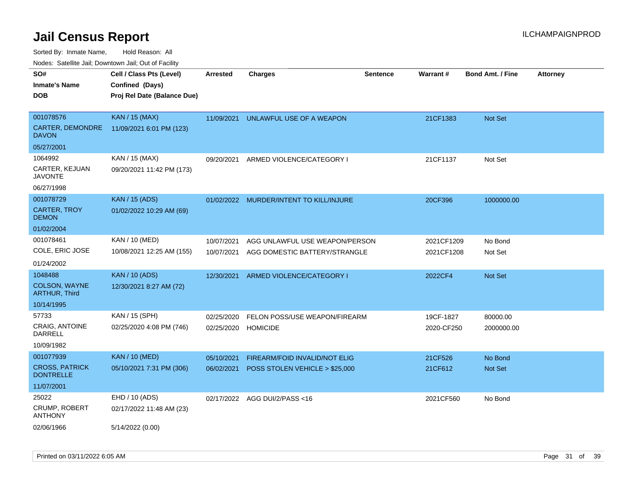Sorted By: Inmate Name, Hold Reason: All

Nodes: Satellite Jail; Downtown Jail; Out of Facility

| SO#                                          | Cell / Class Pts (Level)    | <b>Arrested</b> | <b>Charges</b>                          | <b>Sentence</b> | Warrant#   | <b>Bond Amt. / Fine</b> | <b>Attorney</b> |
|----------------------------------------------|-----------------------------|-----------------|-----------------------------------------|-----------------|------------|-------------------------|-----------------|
| <b>Inmate's Name</b>                         | Confined (Days)             |                 |                                         |                 |            |                         |                 |
| <b>DOB</b>                                   | Proj Rel Date (Balance Due) |                 |                                         |                 |            |                         |                 |
|                                              |                             |                 |                                         |                 |            |                         |                 |
| 001078576                                    | <b>KAN / 15 (MAX)</b>       | 11/09/2021      | UNLAWFUL USE OF A WEAPON                |                 | 21CF1383   | Not Set                 |                 |
| CARTER, DEMONDRE<br><b>DAVON</b>             | 11/09/2021 6:01 PM (123)    |                 |                                         |                 |            |                         |                 |
| 05/27/2001                                   |                             |                 |                                         |                 |            |                         |                 |
| 1064992                                      | KAN / 15 (MAX)              | 09/20/2021      | ARMED VIOLENCE/CATEGORY I               |                 | 21CF1137   | Not Set                 |                 |
| CARTER, KEJUAN<br><b>JAVONTE</b>             | 09/20/2021 11:42 PM (173)   |                 |                                         |                 |            |                         |                 |
| 06/27/1998                                   |                             |                 |                                         |                 |            |                         |                 |
| 001078729                                    | <b>KAN</b> / 15 (ADS)       |                 | 01/02/2022 MURDER/INTENT TO KILL/INJURE |                 | 20CF396    | 1000000.00              |                 |
| <b>CARTER, TROY</b><br><b>DEMON</b>          | 01/02/2022 10:29 AM (69)    |                 |                                         |                 |            |                         |                 |
| 01/02/2004                                   |                             |                 |                                         |                 |            |                         |                 |
| 001078461                                    | KAN / 10 (MED)              | 10/07/2021      | AGG UNLAWFUL USE WEAPON/PERSON          |                 | 2021CF1209 | No Bond                 |                 |
| COLE, ERIC JOSE                              | 10/08/2021 12:25 AM (155)   | 10/07/2021      | AGG DOMESTIC BATTERY/STRANGLE           |                 | 2021CF1208 | Not Set                 |                 |
| 01/24/2002                                   |                             |                 |                                         |                 |            |                         |                 |
| 1048488                                      | <b>KAN / 10 (ADS)</b>       | 12/30/2021      | ARMED VIOLENCE/CATEGORY I               |                 | 2022CF4    | Not Set                 |                 |
| <b>COLSON, WAYNE</b><br><b>ARTHUR, Third</b> | 12/30/2021 8:27 AM (72)     |                 |                                         |                 |            |                         |                 |
| 10/14/1995                                   |                             |                 |                                         |                 |            |                         |                 |
| 57733                                        | KAN / 15 (SPH)              | 02/25/2020      | FELON POSS/USE WEAPON/FIREARM           |                 | 19CF-1827  | 80000.00                |                 |
| <b>CRAIG, ANTOINE</b><br>DARRELL             | 02/25/2020 4:08 PM (746)    | 02/25/2020      | <b>HOMICIDE</b>                         |                 | 2020-CF250 | 2000000.00              |                 |
| 10/09/1982                                   |                             |                 |                                         |                 |            |                         |                 |
| 001077939                                    | <b>KAN / 10 (MED)</b>       | 05/10/2021      | FIREARM/FOID INVALID/NOT ELIG           |                 | 21CF526    | No Bond                 |                 |
| <b>CROSS, PATRICK</b><br><b>DONTRELLE</b>    | 05/10/2021 7:31 PM (306)    | 06/02/2021      | POSS STOLEN VEHICLE > \$25,000          |                 | 21CF612    | Not Set                 |                 |
| 11/07/2001                                   |                             |                 |                                         |                 |            |                         |                 |
| 25022                                        | EHD / 10 (ADS)              |                 | 02/17/2022 AGG DUI/2/PASS<16            |                 | 2021CF560  | No Bond                 |                 |
| CRUMP, ROBERT<br><b>ANTHONY</b>              | 02/17/2022 11:48 AM (23)    |                 |                                         |                 |            |                         |                 |
| 02/06/1966                                   | 5/14/2022 (0.00)            |                 |                                         |                 |            |                         |                 |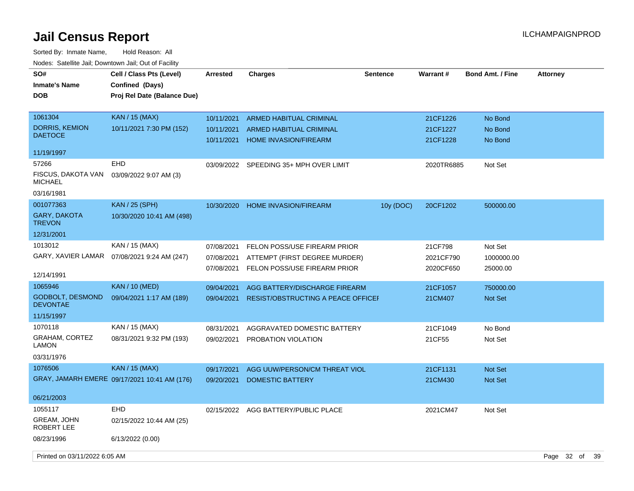| SO#<br><b>Inmate's Name</b><br><b>DOB</b>  | Cell / Class Pts (Level)<br>Confined (Days)<br>Proj Rel Date (Balance Due) | <b>Arrested</b>          | <b>Charges</b>                                          | <b>Sentence</b> | <b>Warrant#</b>      | <b>Bond Amt. / Fine</b> | <b>Attorney</b>   |
|--------------------------------------------|----------------------------------------------------------------------------|--------------------------|---------------------------------------------------------|-----------------|----------------------|-------------------------|-------------------|
| 1061304                                    | <b>KAN</b> / 15 (MAX)                                                      | 10/11/2021               | <b>ARMED HABITUAL CRIMINAL</b>                          |                 | 21CF1226             | No Bond                 |                   |
| DORRIS, KEMION<br><b>DAETOCE</b>           | 10/11/2021 7:30 PM (152)                                                   | 10/11/2021<br>10/11/2021 | ARMED HABITUAL CRIMINAL<br><b>HOME INVASION/FIREARM</b> |                 | 21CF1227<br>21CF1228 | No Bond<br>No Bond      |                   |
| 11/19/1997                                 |                                                                            |                          |                                                         |                 |                      |                         |                   |
| 57266                                      | <b>EHD</b>                                                                 |                          | 03/09/2022 SPEEDING 35+ MPH OVER LIMIT                  |                 | 2020TR6885           | Not Set                 |                   |
| FISCUS, DAKOTA VAN<br><b>MICHAEL</b>       | 03/09/2022 9:07 AM (3)                                                     |                          |                                                         |                 |                      |                         |                   |
| 03/16/1981                                 |                                                                            |                          |                                                         |                 |                      |                         |                   |
| 001077363                                  | <b>KAN / 25 (SPH)</b>                                                      | 10/30/2020               | <b>HOME INVASION/FIREARM</b>                            | 10y (DOC)       | 20CF1202             | 500000.00               |                   |
| <b>GARY, DAKOTA</b><br><b>TREVON</b>       | 10/30/2020 10:41 AM (498)                                                  |                          |                                                         |                 |                      |                         |                   |
| 12/31/2001                                 |                                                                            |                          |                                                         |                 |                      |                         |                   |
| 1013012                                    | KAN / 15 (MAX)                                                             | 07/08/2021               | FELON POSS/USE FIREARM PRIOR                            |                 | 21CF798              | Not Set                 |                   |
| GARY, XAVIER LAMAR                         | 07/08/2021 9:24 AM (247)                                                   | 07/08/2021               | ATTEMPT (FIRST DEGREE MURDER)                           |                 | 2021CF790            | 1000000.00              |                   |
| 12/14/1991                                 |                                                                            | 07/08/2021               | FELON POSS/USE FIREARM PRIOR                            |                 | 2020CF650            | 25000.00                |                   |
| 1065946                                    | <b>KAN</b> / 10 (MED)                                                      | 09/04/2021               | AGG BATTERY/DISCHARGE FIREARM                           |                 | 21CF1057             | 750000.00               |                   |
| <b>GODBOLT, DESMOND</b><br><b>DEVONTAE</b> | 09/04/2021 1:17 AM (189)                                                   | 09/04/2021               | <b>RESIST/OBSTRUCTING A PEACE OFFICEF</b>               |                 | 21CM407              | <b>Not Set</b>          |                   |
| 11/15/1997                                 |                                                                            |                          |                                                         |                 |                      |                         |                   |
| 1070118                                    | KAN / 15 (MAX)                                                             | 08/31/2021               | AGGRAVATED DOMESTIC BATTERY                             |                 | 21CF1049             | No Bond                 |                   |
| GRAHAM, CORTEZ<br>LAMON                    | 08/31/2021 9:32 PM (193)                                                   | 09/02/2021               | PROBATION VIOLATION                                     |                 | 21CF55               | Not Set                 |                   |
| 03/31/1976                                 |                                                                            |                          |                                                         |                 |                      |                         |                   |
| 1076506                                    | <b>KAN / 15 (MAX)</b>                                                      | 09/17/2021               | AGG UUW/PERSON/CM THREAT VIOL                           |                 | 21CF1131             | <b>Not Set</b>          |                   |
|                                            | GRAY, JAMARH EMERE 09/17/2021 10:41 AM (176)                               | 09/20/2021               | <b>DOMESTIC BATTERY</b>                                 |                 | 21CM430              | Not Set                 |                   |
| 06/21/2003                                 |                                                                            |                          |                                                         |                 |                      |                         |                   |
| 1055117                                    | <b>EHD</b>                                                                 |                          | 02/15/2022 AGG BATTERY/PUBLIC PLACE                     |                 | 2021CM47             | Not Set                 |                   |
| <b>GREAM, JOHN</b><br>ROBERT LEE           | 02/15/2022 10:44 AM (25)                                                   |                          |                                                         |                 |                      |                         |                   |
| 08/23/1996                                 | 6/13/2022 (0.00)                                                           |                          |                                                         |                 |                      |                         |                   |
| Printed on 03/11/2022 6:05 AM              |                                                                            |                          |                                                         |                 |                      |                         | Page 32 of<br>-39 |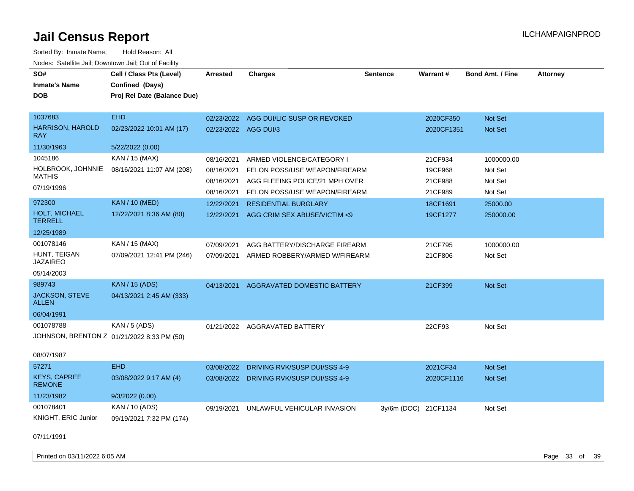| SO#<br><b>Inmate's Name</b><br><b>DOB</b>                             | Cell / Class Pts (Level)<br>Confined (Days)<br>Proj Rel Date (Balance Due) | <b>Arrested</b>                        | <b>Charges</b>                                                                               | Sentence             | Warrant#                      | <b>Bond Amt. / Fine</b>          | <b>Attorney</b> |
|-----------------------------------------------------------------------|----------------------------------------------------------------------------|----------------------------------------|----------------------------------------------------------------------------------------------|----------------------|-------------------------------|----------------------------------|-----------------|
| 1037683<br><b>HARRISON, HAROLD</b><br><b>RAY</b>                      | <b>EHD</b><br>02/23/2022 10:01 AM (17)                                     | 02/23/2022<br>02/23/2022 AGG DUI/3     | AGG DUI/LIC SUSP OR REVOKED                                                                  |                      | 2020CF350<br>2020CF1351       | Not Set<br><b>Not Set</b>        |                 |
| 11/30/1963                                                            | 5/22/2022 (0.00)                                                           |                                        |                                                                                              |                      |                               |                                  |                 |
| 1045186<br>HOLBROOK, JOHNNIE<br><b>MATHIS</b><br>07/19/1996           | KAN / 15 (MAX)<br>08/16/2021 11:07 AM (208)                                | 08/16/2021<br>08/16/2021<br>08/16/2021 | ARMED VIOLENCE/CATEGORY I<br>FELON POSS/USE WEAPON/FIREARM<br>AGG FLEEING POLICE/21 MPH OVER |                      | 21CF934<br>19CF968<br>21CF988 | 1000000.00<br>Not Set<br>Not Set |                 |
|                                                                       |                                                                            | 08/16/2021                             | FELON POSS/USE WEAPON/FIREARM                                                                |                      | 21CF989                       | Not Set                          |                 |
| 972300<br><b>HOLT, MICHAEL</b><br><b>TERRELL</b>                      | <b>KAN / 10 (MED)</b><br>12/22/2021 8:36 AM (80)                           | 12/22/2021<br>12/22/2021               | <b>RESIDENTIAL BURGLARY</b><br>AGG CRIM SEX ABUSE/VICTIM <9                                  |                      | 18CF1691<br>19CF1277          | 25000.00<br>250000.00            |                 |
| 12/25/1989                                                            |                                                                            |                                        |                                                                                              |                      |                               |                                  |                 |
| 001078146<br>HUNT, TEIGAN<br><b>JAZAIREO</b><br>05/14/2003            | KAN / 15 (MAX)<br>07/09/2021 12:41 PM (246)                                | 07/09/2021<br>07/09/2021               | AGG BATTERY/DISCHARGE FIREARM<br>ARMED ROBBERY/ARMED W/FIREARM                               |                      | 21CF795<br>21CF806            | 1000000.00<br>Not Set            |                 |
| 989743                                                                | <b>KAN / 15 (ADS)</b>                                                      | 04/13/2021                             | AGGRAVATED DOMESTIC BATTERY                                                                  |                      | 21CF399                       | Not Set                          |                 |
| JACKSON, STEVE<br><b>ALLEN</b>                                        | 04/13/2021 2:45 AM (333)                                                   |                                        |                                                                                              |                      |                               |                                  |                 |
| 06/04/1991                                                            |                                                                            |                                        |                                                                                              |                      |                               |                                  |                 |
| 001078788<br>JOHNSON, BRENTON Z 01/21/2022 8:33 PM (50)<br>08/07/1987 | <b>KAN / 5 (ADS)</b>                                                       |                                        | 01/21/2022 AGGRAVATED BATTERY                                                                |                      | 22CF93                        | Not Set                          |                 |
| 57271                                                                 | <b>EHD</b>                                                                 | 03/08/2022                             | DRIVING RVK/SUSP DUI/SSS 4-9                                                                 |                      | 2021CF34                      | <b>Not Set</b>                   |                 |
| <b>KEYS, CAPREE</b><br><b>REMONE</b>                                  | 03/08/2022 9:17 AM (4)                                                     |                                        | 03/08/2022 DRIVING RVK/SUSP DUI/SSS 4-9                                                      |                      | 2020CF1116                    | <b>Not Set</b>                   |                 |
| 11/23/1982                                                            | 9/3/2022(0.00)                                                             |                                        |                                                                                              |                      |                               |                                  |                 |
| 001078401<br>KNIGHT, ERIC Junior                                      | KAN / 10 (ADS)<br>09/19/2021 7:32 PM (174)                                 | 09/19/2021                             | UNLAWFUL VEHICULAR INVASION                                                                  | 3y/6m (DOC) 21CF1134 |                               | Not Set                          |                 |
| 07/11/1991                                                            |                                                                            |                                        |                                                                                              |                      |                               |                                  |                 |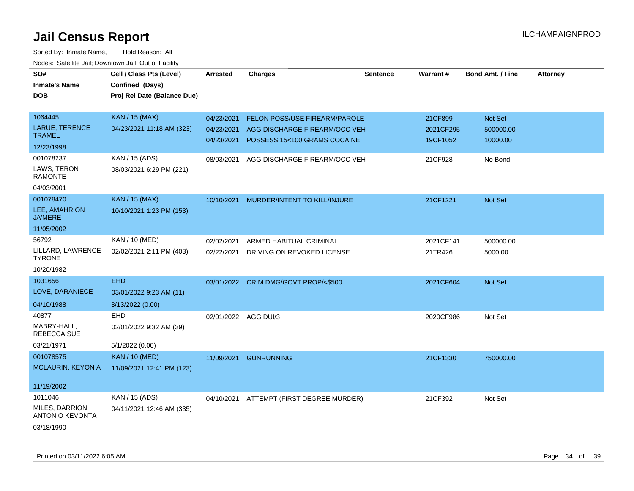| SO#                                      | Cell / Class Pts (Level)    | Arrested   | <b>Charges</b>                           | <b>Sentence</b> | Warrant#  | <b>Bond Amt. / Fine</b> | <b>Attorney</b> |
|------------------------------------------|-----------------------------|------------|------------------------------------------|-----------------|-----------|-------------------------|-----------------|
| <b>Inmate's Name</b>                     | Confined (Days)             |            |                                          |                 |           |                         |                 |
| <b>DOB</b>                               | Proj Rel Date (Balance Due) |            |                                          |                 |           |                         |                 |
|                                          |                             |            |                                          |                 |           |                         |                 |
| 1064445                                  | KAN / 15 (MAX)              | 04/23/2021 | FELON POSS/USE FIREARM/PAROLE            |                 | 21CF899   | Not Set                 |                 |
| <b>LARUE, TERENCE</b>                    | 04/23/2021 11:18 AM (323)   | 04/23/2021 | AGG DISCHARGE FIREARM/OCC VEH            |                 | 2021CF295 | 500000.00               |                 |
| <b>TRAMEL</b>                            |                             | 04/23/2021 | POSSESS 15<100 GRAMS COCAINE             |                 | 19CF1052  | 10000.00                |                 |
| 12/23/1998                               |                             |            |                                          |                 |           |                         |                 |
| 001078237                                | KAN / 15 (ADS)              | 08/03/2021 | AGG DISCHARGE FIREARM/OCC VEH            |                 | 21CF928   | No Bond                 |                 |
| LAWS, TERON<br><b>RAMONTE</b>            | 08/03/2021 6:29 PM (221)    |            |                                          |                 |           |                         |                 |
| 04/03/2001                               |                             |            |                                          |                 |           |                         |                 |
| 001078470                                | KAN / 15 (MAX)              | 10/10/2021 | MURDER/INTENT TO KILL/INJURE             |                 | 21CF1221  | Not Set                 |                 |
| LEE, AMAHRION<br><b>JA'MERE</b>          | 10/10/2021 1:23 PM (153)    |            |                                          |                 |           |                         |                 |
| 11/05/2002                               |                             |            |                                          |                 |           |                         |                 |
| 56792                                    | KAN / 10 (MED)              | 02/02/2021 | ARMED HABITUAL CRIMINAL                  |                 | 2021CF141 | 500000.00               |                 |
| LILLARD, LAWRENCE<br><b>TYRONE</b>       | 02/02/2021 2:11 PM (403)    | 02/22/2021 | DRIVING ON REVOKED LICENSE               |                 | 21TR426   | 5000.00                 |                 |
| 10/20/1982                               |                             |            |                                          |                 |           |                         |                 |
| 1031656                                  | <b>EHD</b>                  |            | 03/01/2022 CRIM DMG/GOVT PROP/<\$500     |                 | 2021CF604 | Not Set                 |                 |
| LOVE, DARANIECE                          | 03/01/2022 9:23 AM (11)     |            |                                          |                 |           |                         |                 |
| 04/10/1988                               | 3/13/2022 (0.00)            |            |                                          |                 |           |                         |                 |
| 40877                                    | <b>EHD</b>                  | 02/01/2022 | AGG DUI/3                                |                 | 2020CF986 | Not Set                 |                 |
| MABRY-HALL,<br><b>REBECCA SUE</b>        | 02/01/2022 9:32 AM (39)     |            |                                          |                 |           |                         |                 |
| 03/21/1971                               | 5/1/2022 (0.00)             |            |                                          |                 |           |                         |                 |
| 001078575                                | <b>KAN / 10 (MED)</b>       | 11/09/2021 | <b>GUNRUNNING</b>                        |                 | 21CF1330  | 750000.00               |                 |
| <b>MCLAURIN, KEYON A</b>                 | 11/09/2021 12:41 PM (123)   |            |                                          |                 |           |                         |                 |
| 11/19/2002                               |                             |            |                                          |                 |           |                         |                 |
| 1011046                                  | KAN / 15 (ADS)              |            | 04/10/2021 ATTEMPT (FIRST DEGREE MURDER) |                 | 21CF392   | Not Set                 |                 |
| MILES, DARRION<br><b>ANTONIO KEVONTA</b> | 04/11/2021 12:46 AM (335)   |            |                                          |                 |           |                         |                 |
| 03/18/1990                               |                             |            |                                          |                 |           |                         |                 |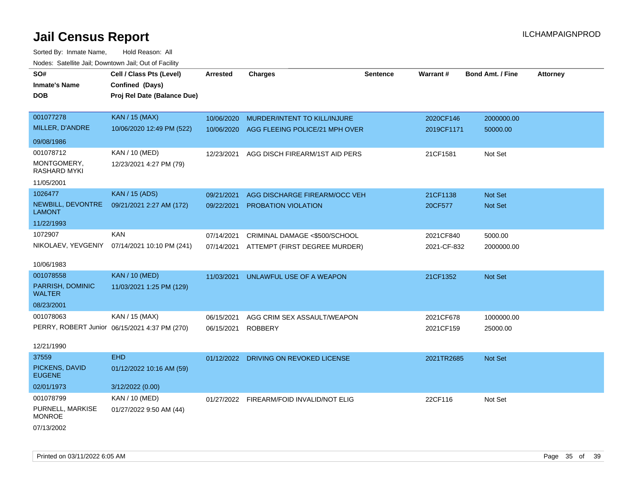| SO#<br><b>Inmate's Name</b><br><b>DOB</b> | Cell / Class Pts (Level)<br>Confined (Days)<br>Proj Rel Date (Balance Due) | Arrested   | <b>Charges</b>                           | <b>Sentence</b> | Warrant#    | <b>Bond Amt. / Fine</b> | <b>Attorney</b> |
|-------------------------------------------|----------------------------------------------------------------------------|------------|------------------------------------------|-----------------|-------------|-------------------------|-----------------|
| 001077278                                 | <b>KAN / 15 (MAX)</b>                                                      | 10/06/2020 | MURDER/INTENT TO KILL/INJURE             |                 | 2020CF146   | 2000000.00              |                 |
| MILLER, D'ANDRE                           | 10/06/2020 12:49 PM (522)                                                  | 10/06/2020 | AGG FLEEING POLICE/21 MPH OVER           |                 | 2019CF1171  | 50000.00                |                 |
| 09/08/1986                                |                                                                            |            |                                          |                 |             |                         |                 |
| 001078712                                 | <b>KAN / 10 (MED)</b>                                                      | 12/23/2021 | AGG DISCH FIREARM/1ST AID PERS           |                 | 21CF1581    | Not Set                 |                 |
| MONTGOMERY,<br><b>RASHARD MYKI</b>        | 12/23/2021 4:27 PM (79)                                                    |            |                                          |                 |             |                         |                 |
| 11/05/2001                                |                                                                            |            |                                          |                 |             |                         |                 |
| 1026477                                   | <b>KAN / 15 (ADS)</b>                                                      | 09/21/2021 | AGG DISCHARGE FIREARM/OCC VEH            |                 | 21CF1138    | Not Set                 |                 |
| NEWBILL, DEVONTRE<br><b>LAMONT</b>        | 09/21/2021 2:27 AM (172)                                                   | 09/22/2021 | PROBATION VIOLATION                      |                 | 20CF577     | Not Set                 |                 |
| 11/22/1993                                |                                                                            |            |                                          |                 |             |                         |                 |
| 1072907                                   | <b>KAN</b>                                                                 | 07/14/2021 | CRIMINAL DAMAGE <\$500/SCHOOL            |                 | 2021CF840   | 5000.00                 |                 |
| NIKOLAEV, YEVGENIY                        | 07/14/2021 10:10 PM (241)                                                  | 07/14/2021 | ATTEMPT (FIRST DEGREE MURDER)            |                 | 2021-CF-832 | 2000000.00              |                 |
| 10/06/1983                                |                                                                            |            |                                          |                 |             |                         |                 |
| 001078558                                 | <b>KAN / 10 (MED)</b>                                                      | 11/03/2021 | UNLAWFUL USE OF A WEAPON                 |                 | 21CF1352    | Not Set                 |                 |
| PARRISH, DOMINIC<br><b>WALTER</b>         | 11/03/2021 1:25 PM (129)                                                   |            |                                          |                 |             |                         |                 |
| 08/23/2001                                |                                                                            |            |                                          |                 |             |                         |                 |
| 001078063                                 | KAN / 15 (MAX)                                                             | 06/15/2021 | AGG CRIM SEX ASSAULT/WEAPON              |                 | 2021CF678   | 1000000.00              |                 |
|                                           | PERRY, ROBERT Junior 06/15/2021 4:37 PM (270)                              | 06/15/2021 | <b>ROBBERY</b>                           |                 | 2021CF159   | 25000.00                |                 |
| 12/21/1990                                |                                                                            |            |                                          |                 |             |                         |                 |
| 37559                                     | <b>EHD</b>                                                                 |            | 01/12/2022 DRIVING ON REVOKED LICENSE    |                 | 2021TR2685  | Not Set                 |                 |
| PICKENS, DAVID<br><b>EUGENE</b>           | 01/12/2022 10:16 AM (59)                                                   |            |                                          |                 |             |                         |                 |
| 02/01/1973                                | 3/12/2022 (0.00)                                                           |            |                                          |                 |             |                         |                 |
| 001078799                                 | KAN / 10 (MED)                                                             |            | 01/27/2022 FIREARM/FOID INVALID/NOT ELIG |                 | 22CF116     | Not Set                 |                 |
| PURNELL, MARKISE<br><b>MONROE</b>         | 01/27/2022 9:50 AM (44)                                                    |            |                                          |                 |             |                         |                 |
| 07/13/2002                                |                                                                            |            |                                          |                 |             |                         |                 |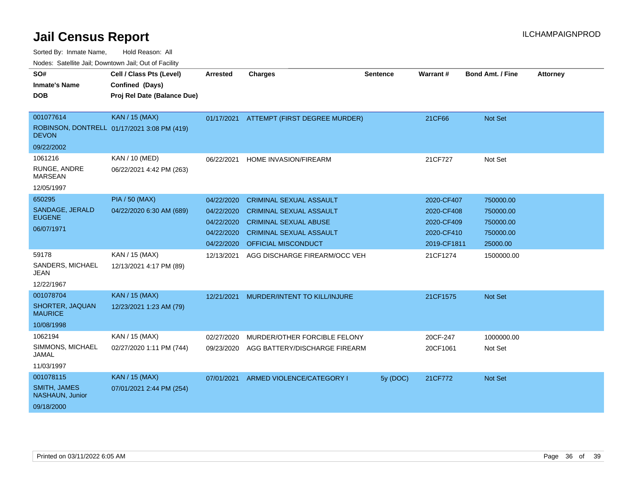| SO#<br><b>Inmate's Name</b><br><b>DOB</b> | Cell / Class Pts (Level)<br>Confined (Days)<br>Proj Rel Date (Balance Due) | <b>Arrested</b> | <b>Charges</b>                 | Sentence | Warrant#    | <b>Bond Amt. / Fine</b> | <b>Attorney</b> |
|-------------------------------------------|----------------------------------------------------------------------------|-----------------|--------------------------------|----------|-------------|-------------------------|-----------------|
|                                           |                                                                            |                 |                                |          |             |                         |                 |
| 001077614                                 | <b>KAN / 15 (MAX)</b>                                                      | 01/17/2021      | ATTEMPT (FIRST DEGREE MURDER)  |          | 21CF66      | <b>Not Set</b>          |                 |
| <b>DEVON</b>                              | ROBINSON, DONTRELL 01/17/2021 3:08 PM (419)                                |                 |                                |          |             |                         |                 |
| 09/22/2002                                |                                                                            |                 |                                |          |             |                         |                 |
| 1061216                                   | KAN / 10 (MED)                                                             | 06/22/2021      | HOME INVASION/FIREARM          |          | 21CF727     | Not Set                 |                 |
| RUNGE, ANDRE<br><b>MARSEAN</b>            | 06/22/2021 4:42 PM (263)                                                   |                 |                                |          |             |                         |                 |
| 12/05/1997                                |                                                                            |                 |                                |          |             |                         |                 |
| 650295                                    | <b>PIA / 50 (MAX)</b>                                                      | 04/22/2020      | <b>CRIMINAL SEXUAL ASSAULT</b> |          | 2020-CF407  | 750000.00               |                 |
| SANDAGE, JERALD                           | 04/22/2020 6:30 AM (689)                                                   | 04/22/2020      | <b>CRIMINAL SEXUAL ASSAULT</b> |          | 2020-CF408  | 750000.00               |                 |
| <b>EUGENE</b>                             |                                                                            | 04/22/2020      | <b>CRIMINAL SEXUAL ABUSE</b>   |          | 2020-CF409  | 750000.00               |                 |
| 06/07/1971                                |                                                                            | 04/22/2020      | <b>CRIMINAL SEXUAL ASSAULT</b> |          | 2020-CF410  | 750000.00               |                 |
|                                           |                                                                            | 04/22/2020      | <b>OFFICIAL MISCONDUCT</b>     |          | 2019-CF1811 | 25000.00                |                 |
| 59178                                     | KAN / 15 (MAX)                                                             | 12/13/2021      | AGG DISCHARGE FIREARM/OCC VEH  |          | 21CF1274    | 1500000.00              |                 |
| SANDERS, MICHAEL<br><b>JEAN</b>           | 12/13/2021 4:17 PM (89)                                                    |                 |                                |          |             |                         |                 |
| 12/22/1967                                |                                                                            |                 |                                |          |             |                         |                 |
| 001078704                                 | <b>KAN / 15 (MAX)</b>                                                      | 12/21/2021      | MURDER/INTENT TO KILL/INJURE   |          | 21CF1575    | <b>Not Set</b>          |                 |
| SHORTER, JAQUAN<br><b>MAURICE</b>         | 12/23/2021 1:23 AM (79)                                                    |                 |                                |          |             |                         |                 |
| 10/08/1998                                |                                                                            |                 |                                |          |             |                         |                 |
| 1062194                                   | KAN / 15 (MAX)                                                             | 02/27/2020      | MURDER/OTHER FORCIBLE FELONY   |          | 20CF-247    | 1000000.00              |                 |
| SIMMONS, MICHAEL<br>JAMAL                 | 02/27/2020 1:11 PM (744)                                                   | 09/23/2020      | AGG BATTERY/DISCHARGE FIREARM  |          | 20CF1061    | Not Set                 |                 |
| 11/03/1997                                |                                                                            |                 |                                |          |             |                         |                 |
| 001078115                                 | <b>KAN / 15 (MAX)</b>                                                      | 07/01/2021      | ARMED VIOLENCE/CATEGORY I      | 5y (DOC) | 21CF772     | <b>Not Set</b>          |                 |
| <b>SMITH, JAMES</b><br>NASHAUN, Junior    | 07/01/2021 2:44 PM (254)                                                   |                 |                                |          |             |                         |                 |
| 09/18/2000                                |                                                                            |                 |                                |          |             |                         |                 |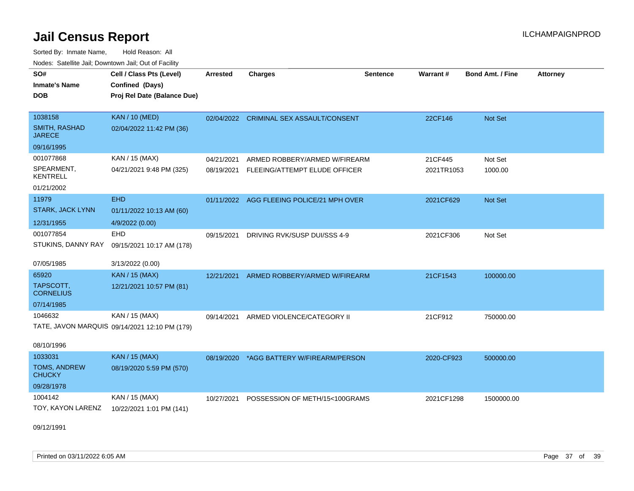Sorted By: Inmate Name, Hold Reason: All Nodes: Satellite Jail; Downtown Jail; Out of Facility

| SO#                                   | Cell / Class Pts (Level)                      | <b>Arrested</b> | <b>Charges</b>                            | <b>Sentence</b> | Warrant#   | <b>Bond Amt. / Fine</b> | <b>Attorney</b> |
|---------------------------------------|-----------------------------------------------|-----------------|-------------------------------------------|-----------------|------------|-------------------------|-----------------|
| <b>Inmate's Name</b>                  | Confined (Days)                               |                 |                                           |                 |            |                         |                 |
| <b>DOB</b>                            | Proj Rel Date (Balance Due)                   |                 |                                           |                 |            |                         |                 |
|                                       |                                               |                 |                                           |                 |            |                         |                 |
| 1038158                               | <b>KAN / 10 (MED)</b>                         | 02/04/2022      | CRIMINAL SEX ASSAULT/CONSENT              |                 | 22CF146    | Not Set                 |                 |
| <b>SMITH, RASHAD</b><br><b>JARECE</b> | 02/04/2022 11:42 PM (36)                      |                 |                                           |                 |            |                         |                 |
| 09/16/1995                            |                                               |                 |                                           |                 |            |                         |                 |
| 001077868                             | KAN / 15 (MAX)                                | 04/21/2021      | ARMED ROBBERY/ARMED W/FIREARM             |                 | 21CF445    | Not Set                 |                 |
| SPEARMENT,<br><b>KENTRELL</b>         | 04/21/2021 9:48 PM (325)                      | 08/19/2021      | FLEEING/ATTEMPT ELUDE OFFICER             |                 | 2021TR1053 | 1000.00                 |                 |
| 01/21/2002                            |                                               |                 |                                           |                 |            |                         |                 |
| 11979                                 | <b>EHD</b>                                    |                 | 01/11/2022 AGG FLEEING POLICE/21 MPH OVER |                 | 2021CF629  | Not Set                 |                 |
| <b>STARK, JACK LYNN</b>               | 01/11/2022 10:13 AM (60)                      |                 |                                           |                 |            |                         |                 |
| 12/31/1955                            | 4/9/2022 (0.00)                               |                 |                                           |                 |            |                         |                 |
| 001077854                             | <b>EHD</b>                                    | 09/15/2021      | DRIVING RVK/SUSP DUI/SSS 4-9              |                 | 2021CF306  | Not Set                 |                 |
| STUKINS, DANNY RAY                    | 09/15/2021 10:17 AM (178)                     |                 |                                           |                 |            |                         |                 |
| 07/05/1985                            | 3/13/2022 (0.00)                              |                 |                                           |                 |            |                         |                 |
| 65920                                 | <b>KAN / 15 (MAX)</b>                         | 12/21/2021      | ARMED ROBBERY/ARMED W/FIREARM             |                 | 21CF1543   | 100000.00               |                 |
| TAPSCOTT,<br><b>CORNELIUS</b>         | 12/21/2021 10:57 PM (81)                      |                 |                                           |                 |            |                         |                 |
| 07/14/1985                            |                                               |                 |                                           |                 |            |                         |                 |
| 1046632                               | KAN / 15 (MAX)                                | 09/14/2021      | ARMED VIOLENCE/CATEGORY II                |                 | 21CF912    | 750000.00               |                 |
|                                       | TATE, JAVON MARQUIS 09/14/2021 12:10 PM (179) |                 |                                           |                 |            |                         |                 |
| 08/10/1996                            |                                               |                 |                                           |                 |            |                         |                 |
| 1033031                               | <b>KAN / 15 (MAX)</b>                         | 08/19/2020      | *AGG BATTERY W/FIREARM/PERSON             |                 | 2020-CF923 | 500000.00               |                 |
| TOMS, ANDREW<br><b>CHUCKY</b>         | 08/19/2020 5:59 PM (570)                      |                 |                                           |                 |            |                         |                 |
| 09/28/1978                            |                                               |                 |                                           |                 |            |                         |                 |
| 1004142                               | KAN / 15 (MAX)                                | 10/27/2021      | POSSESSION OF METH/15<100GRAMS            |                 | 2021CF1298 | 1500000.00              |                 |
| TOY, KAYON LARENZ                     | 10/22/2021 1:01 PM (141)                      |                 |                                           |                 |            |                         |                 |

09/12/1991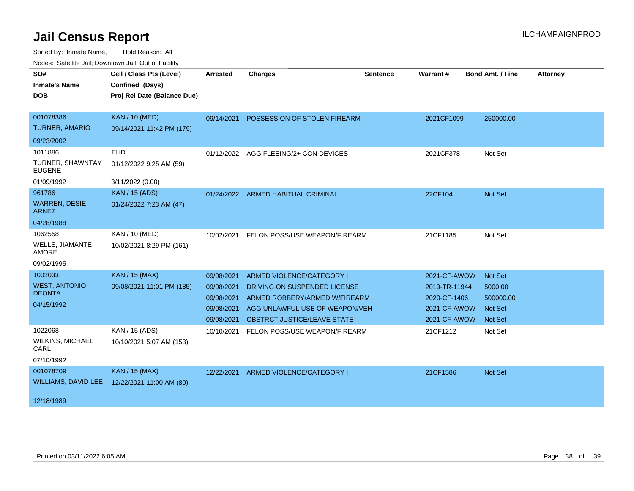| SO#                                    | Cell / Class Pts (Level)    | <b>Arrested</b> | <b>Charges</b>                     | <b>Sentence</b> | Warrant#      | <b>Bond Amt. / Fine</b> | <b>Attorney</b> |
|----------------------------------------|-----------------------------|-----------------|------------------------------------|-----------------|---------------|-------------------------|-----------------|
| <b>Inmate's Name</b>                   | Confined (Days)             |                 |                                    |                 |               |                         |                 |
| <b>DOB</b>                             | Proj Rel Date (Balance Due) |                 |                                    |                 |               |                         |                 |
|                                        |                             |                 |                                    |                 |               |                         |                 |
| 001078386                              | <b>KAN / 10 (MED)</b>       | 09/14/2021      | POSSESSION OF STOLEN FIREARM       |                 | 2021CF1099    | 250000.00               |                 |
| <b>TURNER, AMARIO</b>                  | 09/14/2021 11:42 PM (179)   |                 |                                    |                 |               |                         |                 |
| 09/23/2002                             |                             |                 |                                    |                 |               |                         |                 |
| 1011886                                | <b>EHD</b>                  | 01/12/2022      | AGG FLEEING/2+ CON DEVICES         |                 | 2021CF378     | Not Set                 |                 |
| TURNER, SHAWNTAY<br><b>EUGENE</b>      | 01/12/2022 9:25 AM (59)     |                 |                                    |                 |               |                         |                 |
| 01/09/1992                             | 3/11/2022 (0.00)            |                 |                                    |                 |               |                         |                 |
| 961786                                 | <b>KAN / 15 (ADS)</b>       |                 | 01/24/2022 ARMED HABITUAL CRIMINAL |                 | 22CF104       | Not Set                 |                 |
| <b>WARREN, DESIE</b><br><b>ARNEZ</b>   | 01/24/2022 7:23 AM (47)     |                 |                                    |                 |               |                         |                 |
| 04/28/1988                             |                             |                 |                                    |                 |               |                         |                 |
| 1062558                                | KAN / 10 (MED)              | 10/02/2021      | FELON POSS/USE WEAPON/FIREARM      |                 | 21CF1185      | Not Set                 |                 |
| <b>WELLS, JIAMANTE</b><br><b>AMORE</b> | 10/02/2021 8:29 PM (161)    |                 |                                    |                 |               |                         |                 |
| 09/02/1995                             |                             |                 |                                    |                 |               |                         |                 |
| 1002033                                | <b>KAN / 15 (MAX)</b>       | 09/08/2021      | ARMED VIOLENCE/CATEGORY I          |                 | 2021-CF-AWOW  | Not Set                 |                 |
| <b>WEST, ANTONIO</b>                   | 09/08/2021 11:01 PM (185)   | 09/08/2021      | DRIVING ON SUSPENDED LICENSE       |                 | 2019-TR-11944 | 5000.00                 |                 |
| <b>DEONTA</b>                          |                             | 09/08/2021      | ARMED ROBBERY/ARMED W/FIREARM      |                 | 2020-CF-1406  | 500000.00               |                 |
| 04/15/1992                             |                             | 09/08/2021      | AGG UNLAWFUL USE OF WEAPON/VEH     |                 | 2021-CF-AWOW  | <b>Not Set</b>          |                 |
|                                        |                             | 09/08/2021      | OBSTRCT JUSTICE/LEAVE STATE        |                 | 2021-CF-AWOW  | <b>Not Set</b>          |                 |
| 1022068                                | KAN / 15 (ADS)              | 10/10/2021      | FELON POSS/USE WEAPON/FIREARM      |                 | 21CF1212      | Not Set                 |                 |
| <b>WILKINS, MICHAEL</b><br>CARL        | 10/10/2021 5:07 AM (153)    |                 |                                    |                 |               |                         |                 |
| 07/10/1992                             |                             |                 |                                    |                 |               |                         |                 |
| 001078709                              | <b>KAN / 15 (MAX)</b>       | 12/22/2021      | ARMED VIOLENCE/CATEGORY I          |                 | 21CF1586      | Not Set                 |                 |
| WILLIAMS, DAVID LEE                    | 12/22/2021 11:00 AM (80)    |                 |                                    |                 |               |                         |                 |
| 12/18/1989                             |                             |                 |                                    |                 |               |                         |                 |